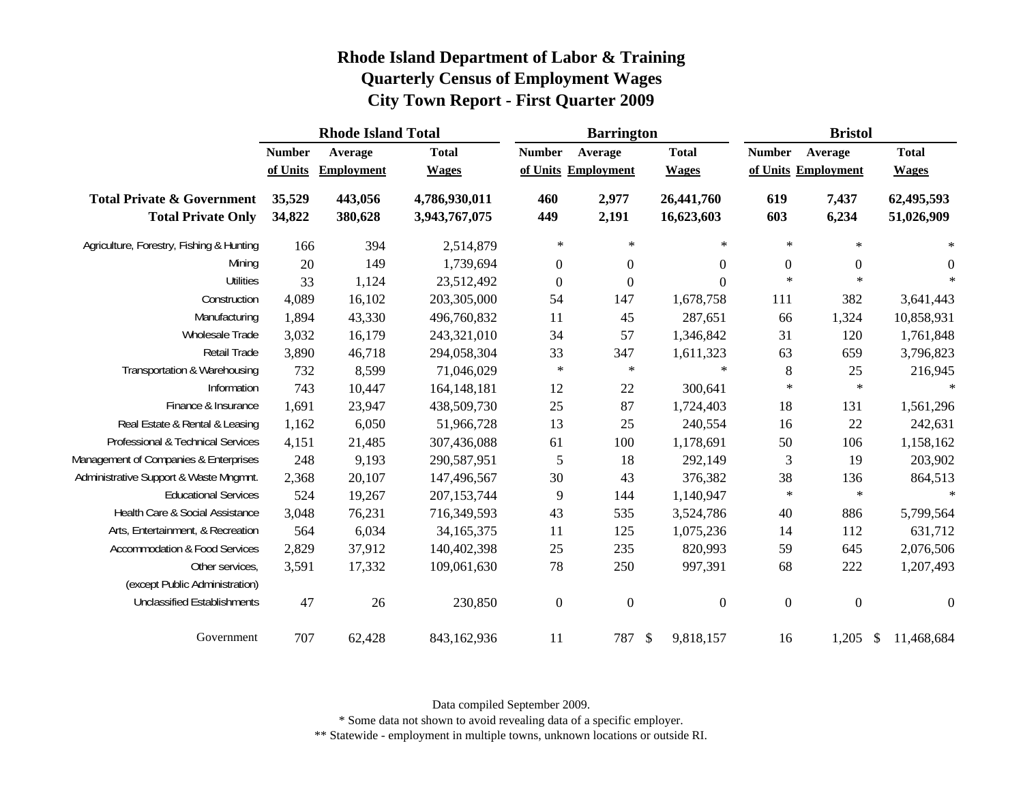| Rhode Island Department of Labor & Training  |
|----------------------------------------------|
| <b>Quarterly Census of Employment Wages</b>  |
| <b>City Town Report - First Quarter 2009</b> |

|                                                                    |                  | <b>Rhode Island Total</b> |                                | <b>Barrington</b> |                     |                          | <b>Bristol</b>   |                     |                             |  |
|--------------------------------------------------------------------|------------------|---------------------------|--------------------------------|-------------------|---------------------|--------------------------|------------------|---------------------|-----------------------------|--|
|                                                                    | <b>Number</b>    | Average                   | <b>Total</b>                   | <b>Number</b>     | Average             | <b>Total</b>             | <b>Number</b>    | Average             | <b>Total</b>                |  |
|                                                                    | of Units         | <b>Employment</b>         | <b>Wages</b>                   |                   | of Units Employment | <b>Wages</b>             |                  | of Units Employment | <b>Wages</b>                |  |
| <b>Total Private &amp; Government</b><br><b>Total Private Only</b> | 35,529<br>34,822 | 443,056<br>380,628        | 4,786,930,011<br>3,943,767,075 | 460<br>449        | 2,977<br>2,191      | 26,441,760<br>16,623,603 | 619<br>603       | 7,437<br>6,234      | 62,495,593<br>51,026,909    |  |
| Agriculture, Forestry, Fishing & Hunting                           | 166              | 394                       | 2,514,879                      | $\ast$            | $\ast$              | $\ast$                   | $\ast$           | $\ast$              | $\ast$                      |  |
| Mining                                                             | 20               | 149                       | 1,739,694                      | $\overline{0}$    | $\boldsymbol{0}$    | $\boldsymbol{0}$         | $\boldsymbol{0}$ | $\boldsymbol{0}$    | $\boldsymbol{0}$            |  |
| <b>Utilities</b>                                                   | 33               | 1,124                     | 23,512,492                     | $\boldsymbol{0}$  | $\theta$            | $\Omega$                 | $\ast$           | $\ast$              | $\star$                     |  |
| Construction                                                       | 4,089            | 16,102                    | 203,305,000                    | 54                | 147                 | 1,678,758                | 111              | 382                 | 3,641,443                   |  |
| Manufacturing                                                      | 1,894            | 43,330                    | 496,760,832                    | 11                | 45                  | 287,651                  | 66               | 1,324               | 10,858,931                  |  |
| Wholesale Trade                                                    | 3,032            | 16,179                    | 243,321,010                    | 34                | 57                  | 1,346,842                | 31               | 120                 | 1,761,848                   |  |
| Retail Trade                                                       | 3,890            | 46,718                    | 294,058,304                    | 33                | 347                 | 1,611,323                | 63               | 659                 | 3,796,823                   |  |
| Transportation & Warehousing                                       | 732              | 8,599                     | 71,046,029                     | $\ast$            | $\ast$              | $\ast$                   | 8                | 25                  | 216,945                     |  |
| Information                                                        | 743              | 10,447                    | 164, 148, 181                  | 12                | 22                  | 300,641                  | $\ast$           | $\ast$              |                             |  |
| Finance & Insurance                                                | 1,691            | 23,947                    | 438,509,730                    | 25                | 87                  | 1,724,403                | 18               | 131                 | 1,561,296                   |  |
| Real Estate & Rental & Leasing                                     | 1,162            | 6,050                     | 51,966,728                     | 13                | 25                  | 240,554                  | 16               | 22                  | 242,631                     |  |
| Professional & Technical Services                                  | 4,151            | 21,485                    | 307,436,088                    | 61                | 100                 | 1,178,691                | 50               | 106                 | 1,158,162                   |  |
| Management of Companies & Enterprises                              | 248              | 9,193                     | 290,587,951                    | 5                 | 18                  | 292,149                  | $\mathfrak{Z}$   | 19                  | 203,902                     |  |
| Administrative Support & Waste Mngmnt.                             | 2,368            | 20,107                    | 147,496,567                    | 30                | 43                  | 376,382                  | 38               | 136                 | 864,513                     |  |
| <b>Educational Services</b>                                        | 524              | 19,267                    | 207, 153, 744                  | 9                 | 144                 | 1,140,947                | $\ast$           | $\ast$              | $\star$                     |  |
| Health Care & Social Assistance                                    | 3,048            | 76,231                    | 716,349,593                    | 43                | 535                 | 3,524,786                | 40               | 886                 | 5,799,564                   |  |
| Arts, Entertainment, & Recreation                                  | 564              | 6,034                     | 34,165,375                     | 11                | 125                 | 1,075,236                | 14               | 112                 | 631,712                     |  |
| Accommodation & Food Services                                      | 2,829            | 37,912                    | 140,402,398                    | 25                | 235                 | 820,993                  | 59               | 645                 | 2,076,506                   |  |
| Other services,                                                    | 3,591            | 17,332                    | 109,061,630                    | 78                | 250                 | 997,391                  | 68               | 222                 | 1,207,493                   |  |
| (except Public Administration)                                     |                  |                           |                                |                   |                     |                          |                  |                     |                             |  |
| <b>Unclassified Establishments</b>                                 | 47               | 26                        | 230,850                        | $\boldsymbol{0}$  | $\mathbf{0}$        | $\boldsymbol{0}$         | $\boldsymbol{0}$ | $\boldsymbol{0}$    | $\overline{0}$              |  |
| Government                                                         | 707              | 62,428                    | 843,162,936                    | 11                | 787                 | 9,818,157<br>\$          | 16               | 1,205               | 11,468,684<br>$\mathcal{S}$ |  |

Data compiled September 2009.

\* Some data not shown to avoid revealing data of a specific employer.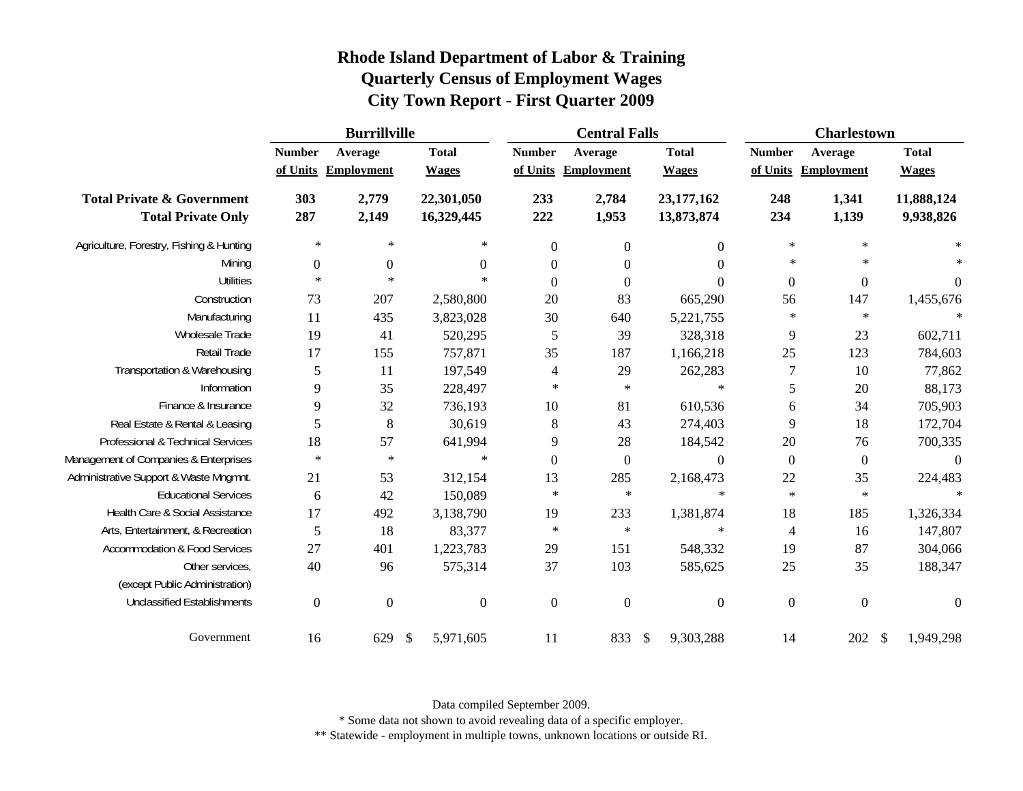|                                                                    | <b>Burrillville</b>       |                              |                              |                          | <b>Central Falls</b>           |                              |                           | <b>Charlestown</b>           |                              |  |
|--------------------------------------------------------------------|---------------------------|------------------------------|------------------------------|--------------------------|--------------------------------|------------------------------|---------------------------|------------------------------|------------------------------|--|
|                                                                    | <b>Number</b><br>of Units | Average<br><b>Employment</b> | <b>Total</b><br><b>Wages</b> | <b>Number</b>            | Average<br>of Units Employment | <b>Total</b><br><b>Wages</b> | <b>Number</b><br>of Units | Average<br><b>Employment</b> | <b>Total</b><br><b>Wages</b> |  |
| <b>Total Private &amp; Government</b><br><b>Total Private Only</b> | 303<br>287                | 2,779<br>2,149               | 22,301,050<br>16,329,445     | 233<br>222               | 2,784<br>1,953                 | 23,177,162<br>13,873,874     | 248<br>234                | 1,341<br>1,139               | 11,888,124<br>9,938,826      |  |
| Agriculture, Forestry, Fishing & Hunting                           | $\ast$                    | $\ast$                       | $\ast$                       | $\boldsymbol{0}$         | $\boldsymbol{0}$               | $\boldsymbol{0}$             | $\ast$                    | $\ast$                       | $\ast$                       |  |
| Mining                                                             | $\boldsymbol{0}$          | $\mathbf{0}$                 | $\overline{0}$               | $\boldsymbol{0}$         | $\boldsymbol{0}$               | $\Omega$                     | $\ast$                    | $\ast$                       |                              |  |
| <b>Utilities</b>                                                   | $\ast$                    | $\ast$                       | $\ast$                       | $\boldsymbol{0}$         | $\boldsymbol{0}$               | $\overline{0}$               | $\boldsymbol{0}$          | $\boldsymbol{0}$             | $\mathbf{0}$                 |  |
| Construction                                                       | 73                        | 207                          | 2,580,800                    | 20                       | 83                             | 665,290                      | 56                        | 147                          | 1,455,676                    |  |
| Manufacturing                                                      | 11                        | 435                          | 3,823,028                    | $30\,$                   | 640                            | 5,221,755                    | $\ast$                    | $\ast$                       |                              |  |
| Wholesale Trade                                                    | 19                        | 41                           | 520,295                      | 5                        | 39                             | 328,318                      | 9                         | 23                           | 602,711                      |  |
| Retail Trade                                                       | 17                        | 155                          | 757,871                      | 35                       | 187                            | 1,166,218                    | 25                        | 123                          | 784,603                      |  |
| Transportation & Warehousing                                       | 5                         | 11                           | 197,549                      | $\overline{\mathcal{A}}$ | 29                             | 262,283                      | 7                         | $10\,$                       | 77,862                       |  |
| Information                                                        | 9                         | 35                           | 228,497                      | $\ast$                   | $\ast$                         | $\ast$                       | 5                         | $20\,$                       | 88,173                       |  |
| Finance & Insurance                                                | 9                         | 32                           | 736,193                      | 10                       | 81                             | 610,536                      | 6                         | 34                           | 705,903                      |  |
| Real Estate & Rental & Leasing                                     | 5                         | 8                            | 30,619                       | 8                        | 43                             | 274,403                      | 9                         | 18                           | 172,704                      |  |
| Professional & Technical Services                                  | 18                        | 57                           | 641,994                      | 9                        | 28                             | 184,542                      | $20\,$                    | 76                           | 700,335                      |  |
| Management of Companies & Enterprises                              | $\ast$                    | $\ast$                       | $\ast$                       | $\boldsymbol{0}$         | $\boldsymbol{0}$               | $\boldsymbol{0}$             | $\boldsymbol{0}$          | $\boldsymbol{0}$             | $\overline{0}$               |  |
| Administrative Support & Waste Mngmnt.                             | 21                        | 53                           | 312,154                      | 13                       | 285                            | 2,168,473                    | 22                        | 35                           | 224,483                      |  |
| <b>Educational Services</b>                                        | 6                         | 42                           | 150,089                      | $\ast$                   | $\ast$                         | $\ast$                       | $\ast$                    | $\ast$                       |                              |  |
| Health Care & Social Assistance                                    | 17                        | 492                          | 3,138,790                    | 19                       | 233                            | 1,381,874                    | 18                        | 185                          | 1,326,334                    |  |
| Arts, Entertainment, & Recreation                                  | 5                         | 18                           | 83,377                       | $\ast$                   | $\ast$                         | $\ast$                       | 4                         | 16                           | 147,807                      |  |
| <b>Accommodation &amp; Food Services</b>                           | 27                        | 401                          | 1,223,783                    | 29                       | 151                            | 548,332                      | 19                        | 87                           | 304,066                      |  |
| Other services,                                                    | 40                        | 96                           | 575,314                      | 37                       | 103                            | 585,625                      | 25                        | 35                           | 188,347                      |  |
| (except Public Administration)                                     |                           |                              |                              |                          |                                |                              |                           |                              |                              |  |
| <b>Unclassified Establishments</b>                                 | $\overline{0}$            | $\Omega$                     | $\boldsymbol{0}$             | $\boldsymbol{0}$         | $\overline{0}$                 | $\boldsymbol{0}$             | $\boldsymbol{0}$          | $\boldsymbol{0}$             | $\theta$                     |  |
| Government                                                         | 16                        | 629                          | 5,971,605<br><sup>\$</sup>   | 11                       | 833                            | 9,303,288<br>- \$            | 14                        | 202                          | 1,949,298<br><sup>\$</sup>   |  |

Data compiled September 2009.

\* Some data not shown to avoid revealing data of a specific employer.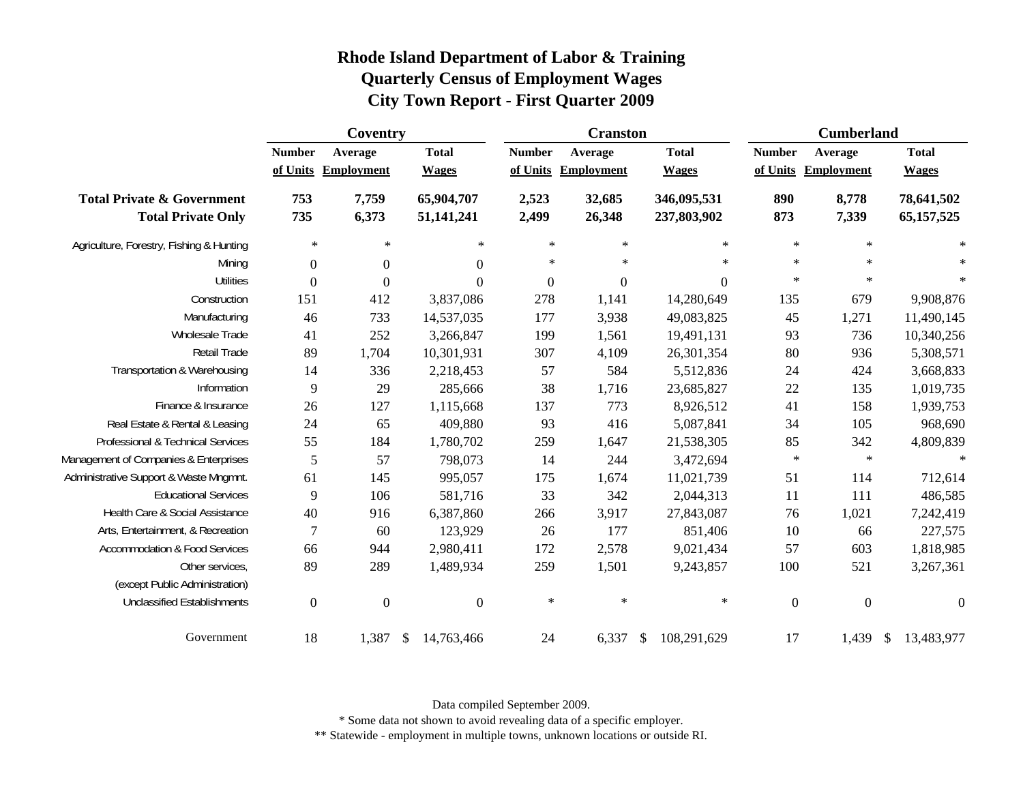|                                                                    |                           | Coventry                     |                              |                           | <b>Cranston</b>              |                              | <b>Cumberland</b> |                                |                              |  |
|--------------------------------------------------------------------|---------------------------|------------------------------|------------------------------|---------------------------|------------------------------|------------------------------|-------------------|--------------------------------|------------------------------|--|
|                                                                    | <b>Number</b><br>of Units | Average<br><b>Employment</b> | <b>Total</b><br><b>Wages</b> | <b>Number</b><br>of Units | Average<br><b>Employment</b> | <b>Total</b><br><b>Wages</b> | <b>Number</b>     | Average<br>of Units Employment | <b>Total</b><br><b>Wages</b> |  |
| <b>Total Private &amp; Government</b><br><b>Total Private Only</b> | 753<br>735                | 7,759<br>6,373               | 65,904,707<br>51,141,241     | 2,523<br>2,499            | 32,685<br>26,348             | 346,095,531<br>237,803,902   | 890<br>873        | 8,778<br>7,339                 | 78,641,502<br>65, 157, 525   |  |
| Agriculture, Forestry, Fishing & Hunting                           | $\ast$                    | $\ast$                       | $\ast$                       | $\ast$                    | $\ast$                       | $\ast$                       | $\ast$            | $\ast$                         | $\ast$                       |  |
| Mining                                                             | $\boldsymbol{0}$          | $\boldsymbol{0}$             | $\boldsymbol{0}$             | $\ast$                    | $\ast$                       | ∗                            | $\ast$            | $\ast$                         | $\ast$                       |  |
| <b>Utilities</b>                                                   | $\boldsymbol{0}$          | $\overline{0}$               | $\boldsymbol{0}$             | $\boldsymbol{0}$          | $\boldsymbol{0}$             | $\boldsymbol{0}$             | $\ast$            | $\ast$                         | $\ast$                       |  |
| Construction                                                       | 151                       | 412                          | 3,837,086                    | 278                       | 1,141                        | 14,280,649                   | 135               | 679                            | 9,908,876                    |  |
| Manufacturing                                                      | 46                        | 733                          | 14,537,035                   | 177                       | 3,938                        | 49,083,825                   | 45                | 1,271                          | 11,490,145                   |  |
| Wholesale Trade                                                    | 41                        | 252                          | 3,266,847                    | 199                       | 1,561                        | 19,491,131                   | 93                | 736                            | 10,340,256                   |  |
| Retail Trade                                                       | 89                        | 1,704                        | 10,301,931                   | 307                       | 4,109                        | 26,301,354                   | $80\,$            | 936                            | 5,308,571                    |  |
| Transportation & Warehousing                                       | 14                        | 336                          | 2,218,453                    | 57                        | 584                          | 5,512,836                    | 24                | 424                            | 3,668,833                    |  |
| Information                                                        | 9                         | 29                           | 285,666                      | 38                        | 1,716                        | 23,685,827                   | $22\,$            | 135                            | 1,019,735                    |  |
| Finance & Insurance                                                | 26                        | 127                          | 1,115,668                    | 137                       | 773                          | 8,926,512                    | 41                | 158                            | 1,939,753                    |  |
| Real Estate & Rental & Leasing                                     | 24                        | 65                           | 409,880                      | 93                        | 416                          | 5,087,841                    | 34                | 105                            | 968,690                      |  |
| Professional & Technical Services                                  | 55                        | 184                          | 1,780,702                    | 259                       | 1,647                        | 21,538,305                   | 85                | 342                            | 4,809,839                    |  |
| Management of Companies & Enterprises                              | 5                         | 57                           | 798,073                      | 14                        | 244                          | 3,472,694                    | $\ast$            | $\ast$                         | $\ast$                       |  |
| Administrative Support & Waste Mngmnt.                             | 61                        | 145                          | 995,057                      | 175                       | 1,674                        | 11,021,739                   | 51                | 114                            | 712,614                      |  |
| <b>Educational Services</b>                                        | 9                         | 106                          | 581,716                      | 33                        | 342                          | 2,044,313                    | 11                | 111                            | 486,585                      |  |
| Health Care & Social Assistance                                    | 40                        | 916                          | 6,387,860                    | 266                       | 3,917                        | 27,843,087                   | 76                | 1,021                          | 7,242,419                    |  |
| Arts, Entertainment, & Recreation                                  | $\overline{7}$            | 60                           | 123,929                      | 26                        | 177                          | 851,406                      | 10                | 66                             | 227,575                      |  |
| <b>Accommodation &amp; Food Services</b>                           | 66                        | 944                          | 2,980,411                    | 172                       | 2,578                        | 9,021,434                    | 57                | 603                            | 1,818,985                    |  |
| Other services,                                                    | 89                        | 289                          | 1,489,934                    | 259                       | 1,501                        | 9,243,857                    | 100               | 521                            | 3,267,361                    |  |
| (except Public Administration)                                     |                           |                              |                              |                           |                              |                              |                   |                                |                              |  |
| <b>Unclassified Establishments</b>                                 | $\boldsymbol{0}$          | $\boldsymbol{0}$             | $\boldsymbol{0}$             | $\ast$                    | $\ast$                       | $\ast$                       | $\boldsymbol{0}$  | $\boldsymbol{0}$               | $\theta$                     |  |
| Government                                                         | 18                        | 1,387                        | - \$<br>14,763,466           | 24                        | 6,337                        | 108,291,629<br>$\mathbb{S}$  | 17                | 1,439                          | \$<br>13,483,977             |  |

Data compiled September 2009.

\* Some data not shown to avoid revealing data of a specific employer.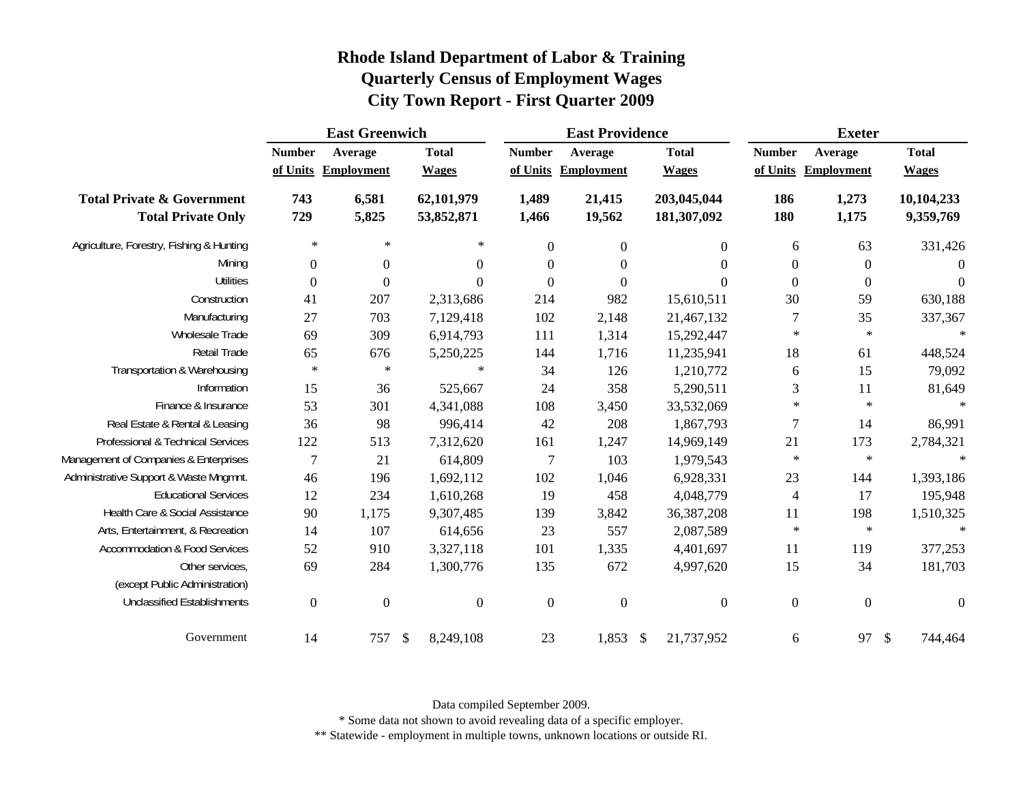|                                                                    |                  | <b>East Greenwich</b> |                           |                          | <b>East Providence</b> |                  |    |                            | <b>Exeter</b>    |                     |               |                         |
|--------------------------------------------------------------------|------------------|-----------------------|---------------------------|--------------------------|------------------------|------------------|----|----------------------------|------------------|---------------------|---------------|-------------------------|
|                                                                    | <b>Number</b>    | Average               |                           | <b>Total</b>             | <b>Number</b>          | Average          |    | <b>Total</b>               | <b>Number</b>    | Average             |               | <b>Total</b>            |
|                                                                    |                  | of Units Employment   |                           | <b>Wages</b>             | of Units               | Employment       |    | <b>Wages</b>               |                  | of Units Employment |               | <b>Wages</b>            |
| <b>Total Private &amp; Government</b><br><b>Total Private Only</b> | 743<br>729       | 6,581<br>5,825        |                           | 62,101,979<br>53,852,871 | 1,489<br>1,466         | 21,415<br>19,562 |    | 203,045,044<br>181,307,092 | 186<br>180       | 1,273<br>1,175      |               | 10,104,233<br>9,359,769 |
|                                                                    |                  |                       |                           |                          |                        |                  |    |                            |                  |                     |               |                         |
| Agriculture, Forestry, Fishing & Hunting                           | $\ast$           | $\ast$                |                           | $\ast$                   | $\boldsymbol{0}$       | $\mathbf{0}$     |    | $\boldsymbol{0}$           | 6                | 63                  |               | 331,426                 |
| Mining                                                             | $\boldsymbol{0}$ | $\boldsymbol{0}$      |                           | $\boldsymbol{0}$         | $\boldsymbol{0}$       | $\boldsymbol{0}$ |    | $\boldsymbol{0}$           | $\boldsymbol{0}$ | $\boldsymbol{0}$    |               | $\overline{0}$          |
| <b>Utilities</b>                                                   | $\Omega$         | $\theta$              |                           | $\Omega$                 | $\Omega$               | $\theta$         |    | $\theta$                   | $\overline{0}$   | $\boldsymbol{0}$    |               | $\Omega$                |
| Construction                                                       | 41               | 207                   |                           | 2,313,686                | 214                    | 982              |    | 15,610,511                 | 30               | 59                  |               | 630,188                 |
| Manufacturing                                                      | 27               | 703                   |                           | 7,129,418                | 102                    | 2,148            |    | 21,467,132                 | $\boldsymbol{7}$ | 35                  |               | 337,367                 |
| Wholesale Trade                                                    | 69               | 309                   |                           | 6,914,793                | 111                    | 1,314            |    | 15,292,447                 | $\ast$           | $\ast$              |               | $\star$                 |
| Retail Trade                                                       | 65               | 676                   |                           | 5,250,225                | 144                    | 1,716            |    | 11,235,941                 | 18               | 61                  |               | 448,524                 |
| Transportation & Warehousing                                       | $\ast$           | $\ast$                |                           | $\ast$                   | 34                     | 126              |    | 1,210,772                  | 6                | 15                  |               | 79,092                  |
| Information                                                        | 15               | 36                    |                           | 525,667                  | 24                     | 358              |    | 5,290,511                  | $\mathfrak{Z}$   | 11                  |               | 81,649                  |
| Finance & Insurance                                                | 53               | 301                   |                           | 4,341,088                | 108                    | 3,450            |    | 33,532,069                 | $\ast$           | $\ast$              |               | $\ast$                  |
| Real Estate & Rental & Leasing                                     | 36               | 98                    |                           | 996,414                  | 42                     | 208              |    | 1,867,793                  | $\overline{7}$   | 14                  |               | 86,991                  |
| Professional & Technical Services                                  | 122              | 513                   |                           | 7,312,620                | 161                    | 1,247            |    | 14,969,149                 | 21               | 173                 |               | 2,784,321               |
| Management of Companies & Enterprises                              | $\overline{7}$   | 21                    |                           | 614,809                  | $\tau$                 | 103              |    | 1,979,543                  | $\ast$           | $\ast$              |               | $\ast$                  |
| Administrative Support & Waste Mngmnt.                             | 46               | 196                   |                           | 1,692,112                | 102                    | 1,046            |    | 6,928,331                  | 23               | 144                 |               | 1,393,186               |
| <b>Educational Services</b>                                        | 12               | 234                   |                           | 1,610,268                | 19                     | 458              |    | 4,048,779                  | $\overline{4}$   | 17                  |               | 195,948                 |
| Health Care & Social Assistance                                    | 90               | 1,175                 |                           | 9,307,485                | 139                    | 3,842            |    | 36, 387, 208               | 11               | 198                 |               | 1,510,325               |
| Arts, Entertainment, & Recreation                                  | 14               | 107                   |                           | 614,656                  | 23                     | 557              |    | 2,087,589                  | $\ast$           | $\ast$              |               | $\ast$                  |
| <b>Accommodation &amp; Food Services</b>                           | 52               | 910                   |                           | 3,327,118                | 101                    | 1,335            |    | 4,401,697                  | 11               | 119                 |               | 377,253                 |
| Other services,                                                    | 69               | 284                   |                           | 1,300,776                | 135                    | 672              |    | 4,997,620                  | 15               | 34                  |               | 181,703                 |
| (except Public Administration)                                     |                  |                       |                           |                          |                        |                  |    |                            |                  |                     |               |                         |
| <b>Unclassified Establishments</b>                                 | $\boldsymbol{0}$ | $\boldsymbol{0}$      |                           | $\boldsymbol{0}$         | $\boldsymbol{0}$       | $\boldsymbol{0}$ |    | $\boldsymbol{0}$           | $\boldsymbol{0}$ | $\boldsymbol{0}$    |               | $\mathbf{0}$            |
| Government                                                         | 14               | 757                   | $\boldsymbol{\mathsf{S}}$ | 8,249,108                | 23                     | 1,853            | \$ | 21,737,952                 | 6                | 97                  | $\mathcal{S}$ | 744,464                 |

Data compiled September 2009.

\* Some data not shown to avoid revealing data of a specific employer.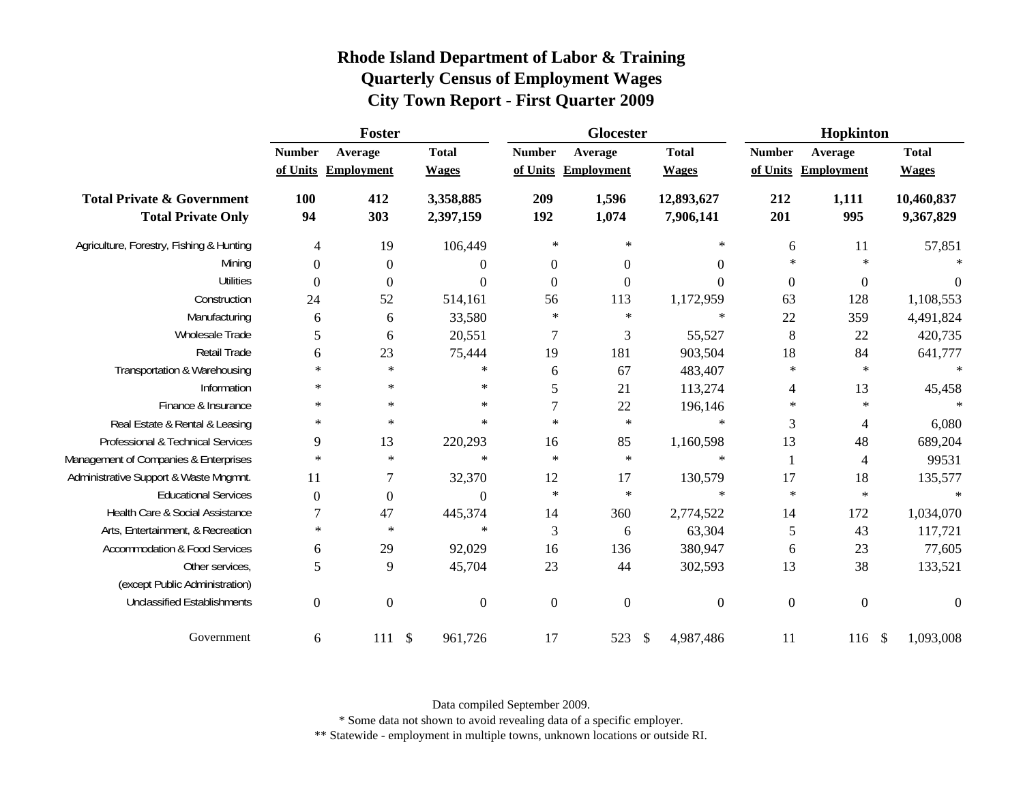| Rhode Island Department of Labor & Training  |  |
|----------------------------------------------|--|
| <b>Quarterly Census of Employment Wages</b>  |  |
| <b>City Town Report - First Quarter 2009</b> |  |

|                                                                    |                           | Foster                       |                                      |                  | Glocester                      |                                        | Hopkinton                 |                              |                              |  |  |
|--------------------------------------------------------------------|---------------------------|------------------------------|--------------------------------------|------------------|--------------------------------|----------------------------------------|---------------------------|------------------------------|------------------------------|--|--|
|                                                                    | <b>Number</b><br>of Units | Average<br><b>Employment</b> | <b>Total</b><br><b>Wages</b>         | <b>Number</b>    | Average<br>of Units Employment | <b>Total</b><br><b>Wages</b>           | <b>Number</b><br>of Units | Average<br><b>Employment</b> | <b>Total</b><br><b>Wages</b> |  |  |
| <b>Total Private &amp; Government</b><br><b>Total Private Only</b> | <b>100</b><br>94          | 412<br>303                   | 3,358,885<br>2,397,159               | 209<br>192       | 1,596<br>1,074                 | 12,893,627<br>7,906,141                | 212<br>201                | 1,111<br>995                 | 10,460,837<br>9,367,829      |  |  |
| Agriculture, Forestry, Fishing & Hunting                           | $\overline{4}$            | 19                           | 106,449                              | $\ast$           | $\ast$                         | $\ast$                                 | 6                         | 11                           | 57,851                       |  |  |
| Mining                                                             | $\boldsymbol{0}$          | $\boldsymbol{0}$             | 0                                    | $\boldsymbol{0}$ | $\boldsymbol{0}$               | $\boldsymbol{0}$                       | $\ast$                    | $\star$                      |                              |  |  |
| Utilities                                                          | $\theta$                  | $\boldsymbol{0}$             | $\Omega$                             | $\mathbf{0}$     | $\boldsymbol{0}$               | $\Omega$                               | $\boldsymbol{0}$          | $\boldsymbol{0}$             | $\Omega$                     |  |  |
| Construction                                                       | 24                        | 52                           | 514,161                              | 56               | 113                            | 1,172,959                              | 63                        | 128                          | 1,108,553                    |  |  |
| Manufacturing                                                      | 6                         | 6                            | 33,580                               | $\ast$           | $\ast$                         | $\ast$                                 | 22                        | 359                          | 4,491,824                    |  |  |
| Wholesale Trade                                                    | 5                         | 6                            | 20,551                               | 7                | 3                              | 55,527                                 | $\,8\,$                   | 22                           | 420,735                      |  |  |
| Retail Trade                                                       | 6                         | 23                           | 75,444                               | 19               | 181                            | 903,504                                | 18                        | 84                           | 641,777                      |  |  |
| Transportation & Warehousing                                       | $\ast$                    | $\ast$                       | $\ast$                               | $\boldsymbol{6}$ | 67                             | 483,407                                | $\ast$                    | $\ast$                       | $\ast$                       |  |  |
| Information                                                        | $\ast$                    | $\ast$                       | ∗                                    | 5                | 21                             | 113,274                                | 4                         | 13                           | 45,458                       |  |  |
| Finance & Insurance                                                | $\ast$                    | $\ast$                       | $\ast$                               | 7                | 22                             | 196,146                                | $\ast$                    | $\ast$                       | $\star$                      |  |  |
| Real Estate & Rental & Leasing                                     | $\ast$                    | $\ast$                       | $\ast$                               | $\ast$           | $\ast$                         | $\ast$                                 | 3                         | 4                            | 6,080                        |  |  |
| Professional & Technical Services                                  | 9                         | 13                           | 220,293                              | 16               | 85                             | 1,160,598                              | 13                        | 48                           | 689,204                      |  |  |
| Management of Companies & Enterprises                              | $\ast$                    | $\ast$                       | $\ast$                               | $\ast$           | $\ast$                         | $\ast$                                 |                           | 4                            | 99531                        |  |  |
| Administrative Support & Waste Mngmnt.                             | 11                        | 7                            | 32,370                               | 12               | 17                             | 130,579                                | 17                        | 18                           | 135,577                      |  |  |
| <b>Educational Services</b>                                        | $\theta$                  | $\boldsymbol{0}$             | $\Omega$                             | $\ast$           | $\ast$                         | $\ast$                                 | $\ast$                    | $\ast$                       | $\ast$                       |  |  |
| Health Care & Social Assistance                                    | 7                         | 47                           | 445,374                              | 14               | 360                            | 2,774,522                              | 14                        | 172                          | 1,034,070                    |  |  |
| Arts, Entertainment, & Recreation                                  | $\ast$                    | $\ast$                       | $\ast$                               | 3                | 6                              | 63,304                                 | 5                         | 43                           | 117,721                      |  |  |
| <b>Accommodation &amp; Food Services</b>                           | 6                         | 29                           | 92,029                               | 16               | 136                            | 380,947                                | 6                         | 23                           | 77,605                       |  |  |
| Other services.                                                    | 5                         | 9                            | 45,704                               | 23               | 44                             | 302,593                                | 13                        | 38                           | 133,521                      |  |  |
| (except Public Administration)                                     |                           |                              |                                      |                  |                                |                                        |                           |                              |                              |  |  |
| <b>Unclassified Establishments</b>                                 | $\boldsymbol{0}$          | $\boldsymbol{0}$             | $\boldsymbol{0}$                     | $\boldsymbol{0}$ | $\boldsymbol{0}$               | $\boldsymbol{0}$                       | $\overline{0}$            | $\boldsymbol{0}$             | $\overline{0}$               |  |  |
| Government                                                         | 6                         | 111                          | $\boldsymbol{\mathsf{S}}$<br>961,726 | 17               | 523                            | $\boldsymbol{\mathsf{S}}$<br>4,987,486 | 11                        | 116                          | $\mathcal{S}$<br>1,093,008   |  |  |

Data compiled September 2009.

\* Some data not shown to avoid revealing data of a specific employer.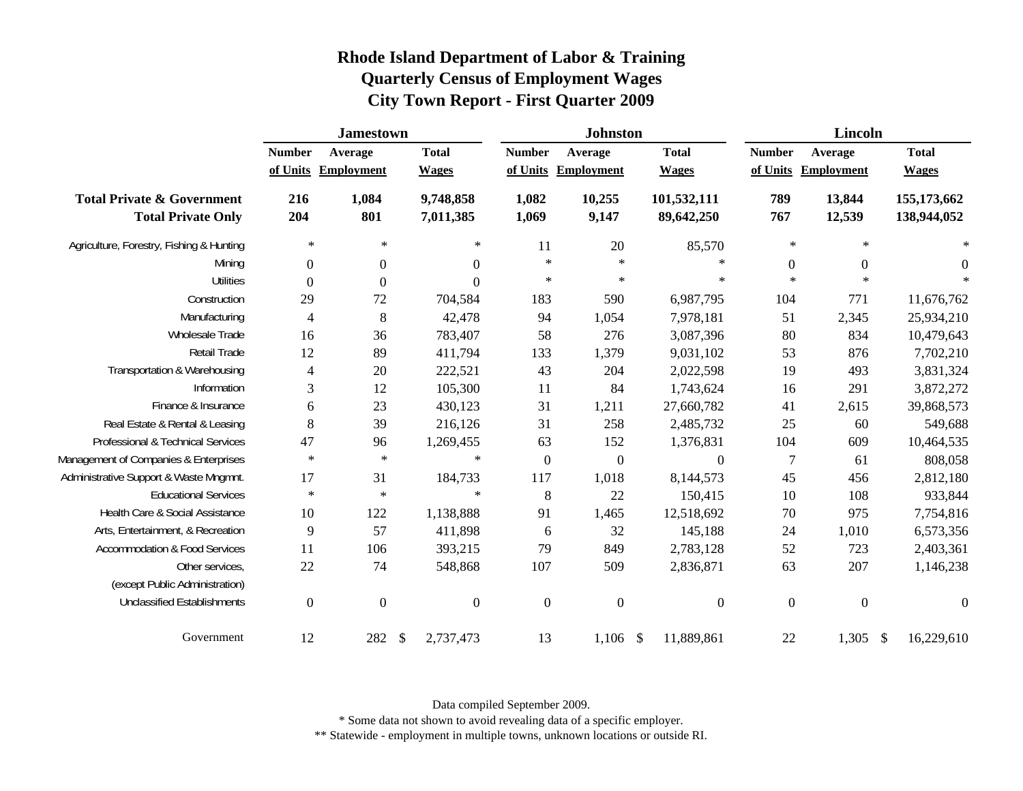|                                                                    | <b>Jamestown</b> |                                |                              |                  |                | <b>Johnston</b>                |                              | <b>Lincoln</b> |                                |               |                              |
|--------------------------------------------------------------------|------------------|--------------------------------|------------------------------|------------------|----------------|--------------------------------|------------------------------|----------------|--------------------------------|---------------|------------------------------|
|                                                                    | <b>Number</b>    | Average<br>of Units Employment | <b>Total</b><br><b>Wages</b> |                  | <b>Number</b>  | Average<br>of Units Employment | <b>Total</b><br><b>Wages</b> | <b>Number</b>  | Average<br>of Units Employment |               | <b>Total</b><br><b>Wages</b> |
| <b>Total Private &amp; Government</b><br><b>Total Private Only</b> | 216<br>204       | 1,084<br>801                   | 9,748,858<br>7,011,385       |                  | 1,082<br>1,069 | 10,255<br>9,147                | 101,532,111<br>89,642,250    | 789<br>767     | 13,844<br>12,539               |               | 155,173,662<br>138,944,052   |
| Agriculture, Forestry, Fishing & Hunting                           | $\ast$           | $\ast$                         |                              | $\ast$           | 11             | $20\,$                         | 85,570                       | $\ast$         | $\ast$                         |               | $\star$                      |
| Mining                                                             | $\boldsymbol{0}$ | $\boldsymbol{0}$               |                              | $\boldsymbol{0}$ | $\ast$         | $\ast$                         | $\ast$                       | $\overline{0}$ | $\boldsymbol{0}$               |               | $\boldsymbol{0}$             |
| <b>Utilities</b>                                                   | $\boldsymbol{0}$ | $\boldsymbol{0}$               |                              | $\overline{0}$   | $\ast$         | $\ast$                         | $\ast$                       | $\star$        | $\star$                        |               | $\ast$                       |
| Construction                                                       | 29               | 72                             |                              | 704,584          | 183            | 590                            | 6,987,795                    | 104            | 771                            |               | 11,676,762                   |
| Manufacturing                                                      | $\overline{4}$   | $\,8\,$                        |                              | 42,478           | 94             | 1,054                          | 7,978,181                    | 51             | 2,345                          |               | 25,934,210                   |
| Wholesale Trade                                                    | 16               | 36                             |                              | 783,407          | 58             | 276                            | 3,087,396                    | 80             | 834                            |               | 10,479,643                   |
| Retail Trade                                                       | 12               | 89                             |                              | 411,794          | 133            | 1,379                          | 9,031,102                    | 53             | 876                            |               | 7,702,210                    |
| Transportation & Warehousing                                       | 4                | 20                             |                              | 222,521          | 43             | 204                            | 2,022,598                    | 19             | 493                            |               | 3,831,324                    |
| Information                                                        | 3                | 12                             |                              | 105,300          | 11             | 84                             | 1,743,624                    | 16             | 291                            |               | 3,872,272                    |
| Finance & Insurance                                                | $\boldsymbol{6}$ | 23                             |                              | 430,123          | 31             | 1,211                          | 27,660,782                   | 41             | 2,615                          |               | 39,868,573                   |
| Real Estate & Rental & Leasing                                     | 8                | 39                             |                              | 216,126          | 31             | 258                            | 2,485,732                    | 25             | 60                             |               | 549,688                      |
| Professional & Technical Services                                  | 47               | 96                             | 1,269,455                    |                  | 63             | 152                            | 1,376,831                    | 104            | 609                            |               | 10,464,535                   |
| Management of Companies & Enterprises                              | $\ast$           | $\ast$                         |                              | $\ast$           | $\mathbf{0}$   | $\boldsymbol{0}$               | $\overline{0}$               | 7              | 61                             |               | 808,058                      |
| Administrative Support & Waste Mngmnt.                             | 17               | 31                             |                              | 184,733          | 117            | 1,018                          | 8,144,573                    | 45             | 456                            |               | 2,812,180                    |
| <b>Educational Services</b>                                        | $\ast$           | $\ast$                         |                              | $\ast$           | 8              | 22                             | 150,415                      | 10             | 108                            |               | 933,844                      |
| Health Care & Social Assistance                                    | 10               | 122                            | 1,138,888                    |                  | 91             | 1,465                          | 12,518,692                   | 70             | 975                            |               | 7,754,816                    |
| Arts, Entertainment, & Recreation                                  | 9                | 57                             |                              | 411,898          | 6              | 32                             | 145,188                      | 24             | 1,010                          |               | 6,573,356                    |
| Accommodation & Food Services                                      | 11               | 106                            |                              | 393,215          | 79             | 849                            | 2,783,128                    | 52             | 723                            |               | 2,403,361                    |
| Other services,                                                    | 22               | 74                             |                              | 548,868          | 107            | 509                            | 2,836,871                    | 63             | 207                            |               | 1,146,238                    |
| (except Public Administration)                                     |                  |                                |                              |                  |                |                                |                              |                |                                |               |                              |
| <b>Unclassified Establishments</b>                                 | $\boldsymbol{0}$ | $\boldsymbol{0}$               |                              | $\overline{0}$   | $\overline{0}$ | $\boldsymbol{0}$               | $\overline{0}$               | $\overline{0}$ | $\mathbf{0}$                   |               | $\boldsymbol{0}$             |
| Government                                                         | 12               | 282 \$                         | 2,737,473                    |                  | 13             | $1,106$ \$                     | 11,889,861                   | 22             | 1,305                          | $\mathcal{S}$ | 16,229,610                   |

Data compiled September 2009.

\* Some data not shown to avoid revealing data of a specific employer.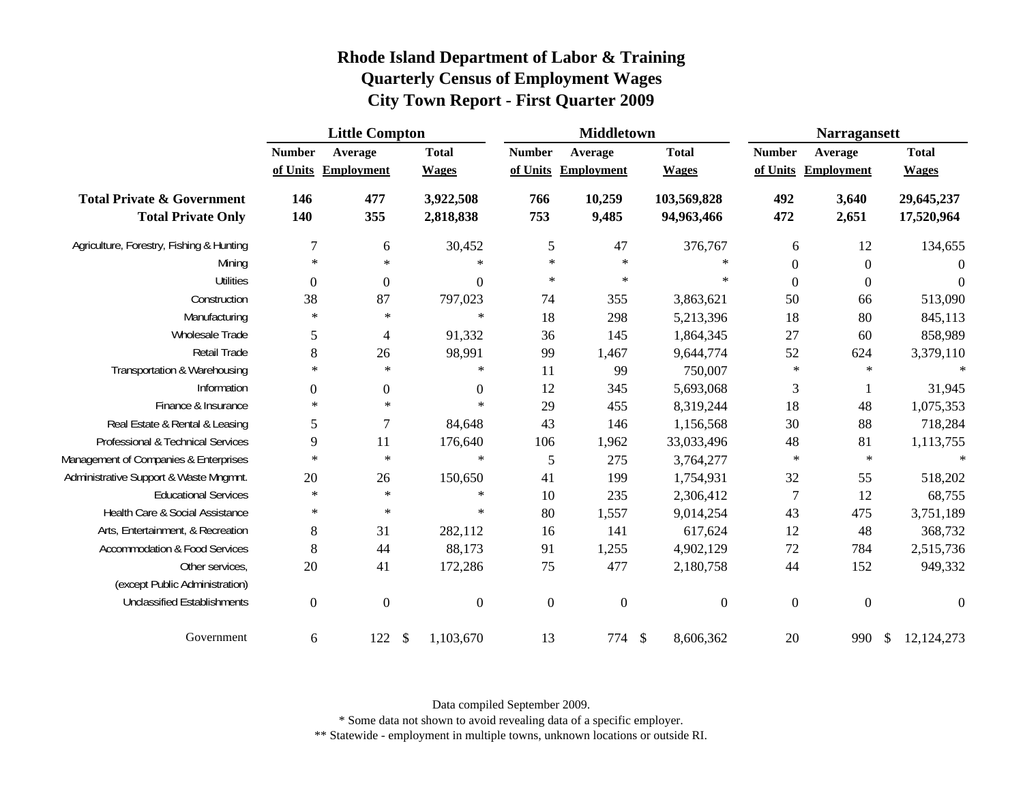|                                                                    |                           | <b>Little Compton</b>        |                              |                           | <b>Middletown</b>     |                              | <b>Narragansett</b> |                                |                              |  |
|--------------------------------------------------------------------|---------------------------|------------------------------|------------------------------|---------------------------|-----------------------|------------------------------|---------------------|--------------------------------|------------------------------|--|
|                                                                    | <b>Number</b><br>of Units | Average<br><b>Employment</b> | <b>Total</b><br><b>Wages</b> | <b>Number</b><br>of Units | Average<br>Employment | <b>Total</b><br><b>Wages</b> | <b>Number</b>       | Average<br>of Units Employment | <b>Total</b><br><b>Wages</b> |  |
| <b>Total Private &amp; Government</b><br><b>Total Private Only</b> | 146<br>140                | 477<br>355                   | 3,922,508<br>2,818,838       | 766<br>753                | 10,259<br>9,485       | 103,569,828<br>94,963,466    | 492<br>472          | 3,640<br>2,651                 | 29,645,237<br>17,520,964     |  |
| Agriculture, Forestry, Fishing & Hunting                           | 7                         | 6                            | 30,452                       | 5                         | 47                    | 376,767                      | 6                   | 12                             | 134,655                      |  |
| Mining                                                             | $\ast$                    | $\ast$                       | $\ast$                       | $\ast$                    | $\ast$                | $\ast$                       | $\overline{0}$      | $\mathbf{0}$                   | $\overline{0}$               |  |
| <b>Utilities</b>                                                   | $\mathbf{0}$              | $\overline{0}$               | $\mathbf{0}$                 | $\ast$                    | $\ast$                | $\ast$                       | $\mathbf{0}$        | $\mathbf{0}$                   | $\Omega$                     |  |
| Construction                                                       | 38                        | 87                           | 797,023                      | 74                        | 355                   | 3,863,621                    | 50                  | 66                             | 513,090                      |  |
| Manufacturing                                                      | $\ast$                    | $\ast$                       | $\ast$                       | 18                        | 298                   | 5,213,396                    | 18                  | 80                             | 845,113                      |  |
| Wholesale Trade                                                    | 5                         | $\overline{4}$               | 91,332                       | 36                        | 145                   | 1,864,345                    | 27                  | 60                             | 858,989                      |  |
| Retail Trade                                                       | 8                         | 26                           | 98,991                       | 99                        | 1,467                 | 9,644,774                    | 52                  | 624                            | 3,379,110                    |  |
| Transportation & Warehousing                                       | ∗                         | $\ast$                       | $\ast$                       | 11                        | 99                    | 750,007                      | $\ast$              | $\ast$                         | $\star$                      |  |
| Information                                                        | $\boldsymbol{0}$          | $\boldsymbol{0}$             | $\mathbf{0}$                 | 12                        | 345                   | 5,693,068                    | 3                   | 1                              | 31,945                       |  |
| Finance & Insurance                                                | $\ast$                    | $\ast$                       | ∗                            | 29                        | 455                   | 8,319,244                    | 18                  | 48                             | 1,075,353                    |  |
| Real Estate & Rental & Leasing                                     | 5                         | $\overline{7}$               | 84,648                       | 43                        | 146                   | 1,156,568                    | 30                  | 88                             | 718,284                      |  |
| Professional & Technical Services                                  | 9                         | 11                           | 176,640                      | 106                       | 1,962                 | 33,033,496                   | 48                  | 81                             | 1,113,755                    |  |
| Management of Companies & Enterprises                              | $\ast$                    | $\ast$                       | $\ast$                       | 5                         | 275                   | 3,764,277                    | $\ast$              | $\ast$                         | $\ast$                       |  |
| Administrative Support & Waste Mngmnt.                             | 20                        | 26                           | 150,650                      | 41                        | 199                   | 1,754,931                    | 32                  | 55                             | 518,202                      |  |
| <b>Educational Services</b>                                        | ∗                         | $\ast$                       | $\ast$                       | 10                        | 235                   | 2,306,412                    | 7                   | 12                             | 68,755                       |  |
| Health Care & Social Assistance                                    | ∗                         | $\ast$                       | $\ast$                       | 80                        | 1,557                 | 9,014,254                    | 43                  | 475                            | 3,751,189                    |  |
| Arts, Entertainment, & Recreation                                  | 8                         | 31                           | 282,112                      | 16                        | 141                   | 617,624                      | 12                  | 48                             | 368,732                      |  |
| Accommodation & Food Services                                      | 8                         | 44                           | 88,173                       | 91                        | 1,255                 | 4,902,129                    | $72\,$              | 784                            | 2,515,736                    |  |
| Other services,                                                    | 20                        | 41                           | 172,286                      | 75                        | 477                   | 2,180,758                    | 44                  | 152                            | 949,332                      |  |
| (except Public Administration)                                     |                           |                              |                              |                           |                       |                              |                     |                                |                              |  |
| <b>Unclassified Establishments</b>                                 | $\mathbf{0}$              | $\boldsymbol{0}$             | $\boldsymbol{0}$             | $\boldsymbol{0}$          | $\boldsymbol{0}$      | $\overline{0}$               | $\boldsymbol{0}$    | $\mathbf{0}$                   | $\Omega$                     |  |
| Government                                                         | 6                         | 122                          | 1,103,670<br>- \$            | 13                        | 774                   | 8,606,362<br>- \$            | 20                  | 990                            | 12, 124, 273<br>- \$         |  |

Data compiled September 2009.

\* Some data not shown to avoid revealing data of a specific employer.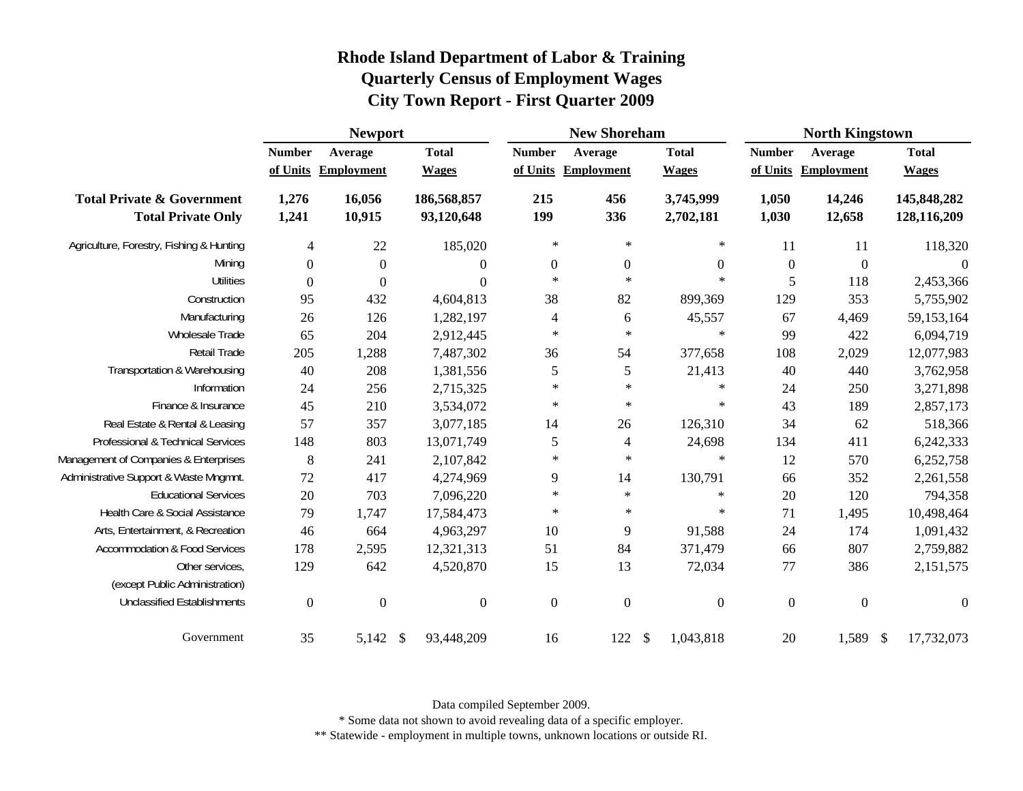|                                                                    |                  | <b>Newport</b>      |                           |                          | <b>New Shoreham</b> |                        |                  | <b>North Kingstown</b> |                            |  |
|--------------------------------------------------------------------|------------------|---------------------|---------------------------|--------------------------|---------------------|------------------------|------------------|------------------------|----------------------------|--|
|                                                                    | <b>Number</b>    | Average             | <b>Total</b>              | <b>Number</b>            | Average             | <b>Total</b>           | <b>Number</b>    | Average                | <b>Total</b>               |  |
|                                                                    |                  | of Units Employment | <b>Wages</b>              |                          | of Units Employment | <b>Wages</b>           | of Units         | Employment             | <b>Wages</b>               |  |
| <b>Total Private &amp; Government</b><br><b>Total Private Only</b> | 1,276<br>1,241   | 16,056<br>10,915    | 186,568,857<br>93,120,648 | 215<br>199               | 456<br>336          | 3,745,999<br>2,702,181 | 1,050<br>1,030   | 14,246<br>12,658       | 145,848,282<br>128,116,209 |  |
| Agriculture, Forestry, Fishing & Hunting                           | $\overline{4}$   | 22                  | 185,020                   | $\ast$                   | $\ast$              | $\ast$                 | 11               | 11                     | 118,320                    |  |
| Mining                                                             | $\boldsymbol{0}$ | $\boldsymbol{0}$    | $\boldsymbol{0}$          | $\boldsymbol{0}$         | $\boldsymbol{0}$    | $\boldsymbol{0}$       | $\boldsymbol{0}$ | $\boldsymbol{0}$       | $\boldsymbol{0}$           |  |
| <b>Utilities</b>                                                   | $\boldsymbol{0}$ | $\mathbf{0}$        | $\boldsymbol{0}$          | $\ast$                   | $\ast$              | $\ast$                 | 5                | 118                    | 2,453,366                  |  |
| Construction                                                       | 95               | 432                 | 4,604,813                 | 38                       | 82                  | 899,369                | 129              | 353                    | 5,755,902                  |  |
| Manufacturing                                                      | 26               | 126                 | 1,282,197                 | $\overline{\mathcal{A}}$ | 6                   | 45,557                 | 67               | 4,469                  | 59,153,164                 |  |
| Wholesale Trade                                                    | 65               | 204                 | 2,912,445                 | $\ast$                   | $\ast$              | $\ast$                 | 99               | 422                    | 6,094,719                  |  |
| Retail Trade                                                       | 205              | 1,288               | 7,487,302                 | 36                       | 54                  | 377,658                | 108              | 2,029                  | 12,077,983                 |  |
| Transportation & Warehousing                                       | 40               | 208                 | 1,381,556                 | 5                        | 5                   | 21,413                 | 40               | 440                    | 3,762,958                  |  |
| Information                                                        | 24               | 256                 | 2,715,325                 | $\ast$                   | $\ast$              | $\ast$                 | 24               | 250                    | 3,271,898                  |  |
| Finance & Insurance                                                | 45               | 210                 | 3,534,072                 | $\ast$                   | $\ast$              | $\ast$                 | 43               | 189                    | 2,857,173                  |  |
| Real Estate & Rental & Leasing                                     | 57               | 357                 | 3,077,185                 | 14                       | 26                  | 126,310                | 34               | 62                     | 518,366                    |  |
| Professional & Technical Services                                  | 148              | 803                 | 13,071,749                | 5                        | $\overline{4}$      | 24,698                 | 134              | 411                    | 6,242,333                  |  |
| Management of Companies & Enterprises                              | $\,8\,$          | 241                 | 2,107,842                 | $\ast$                   | $\ast$              | $\ast$                 | 12               | 570                    | 6,252,758                  |  |
| Administrative Support & Waste Mngmnt.                             | 72               | 417                 | 4,274,969                 | 9                        | 14                  | 130,791                | 66               | 352                    | 2,261,558                  |  |
| <b>Educational Services</b>                                        | 20               | 703                 | 7,096,220                 | $\ast$                   | $\ast$              | $\ast$                 | 20               | 120                    | 794,358                    |  |
| Health Care & Social Assistance                                    | 79               | 1,747               | 17,584,473                | $\ast$                   | $\ast$              | $\ast$                 | 71               | 1,495                  | 10,498,464                 |  |
| Arts, Entertainment, & Recreation                                  | 46               | 664                 | 4,963,297                 | 10                       | 9                   | 91,588                 | 24               | 174                    | 1,091,432                  |  |
| <b>Accommodation &amp; Food Services</b>                           | 178              | 2,595               | 12,321,313                | 51                       | 84                  | 371,479                | 66               | 807                    | 2,759,882                  |  |
| Other services,<br>(except Public Administration)                  | 129              | 642                 | 4,520,870                 | 15                       | 13                  | 72,034                 | 77               | 386                    | 2,151,575                  |  |
| <b>Unclassified Establishments</b>                                 | $\boldsymbol{0}$ | $\boldsymbol{0}$    | $\boldsymbol{0}$          | $\boldsymbol{0}$         | $\boldsymbol{0}$    | $\mathbf{0}$           | $\boldsymbol{0}$ | $\boldsymbol{0}$       | $\Omega$                   |  |
| Government                                                         | 35               | $5,142$ \$          | 93,448,209                | 16                       | 122S                | 1,043,818              | $20\,$           | 1,589 \$               | 17,732,073                 |  |

Data compiled September 2009.

\* Some data not shown to avoid revealing data of a specific employer.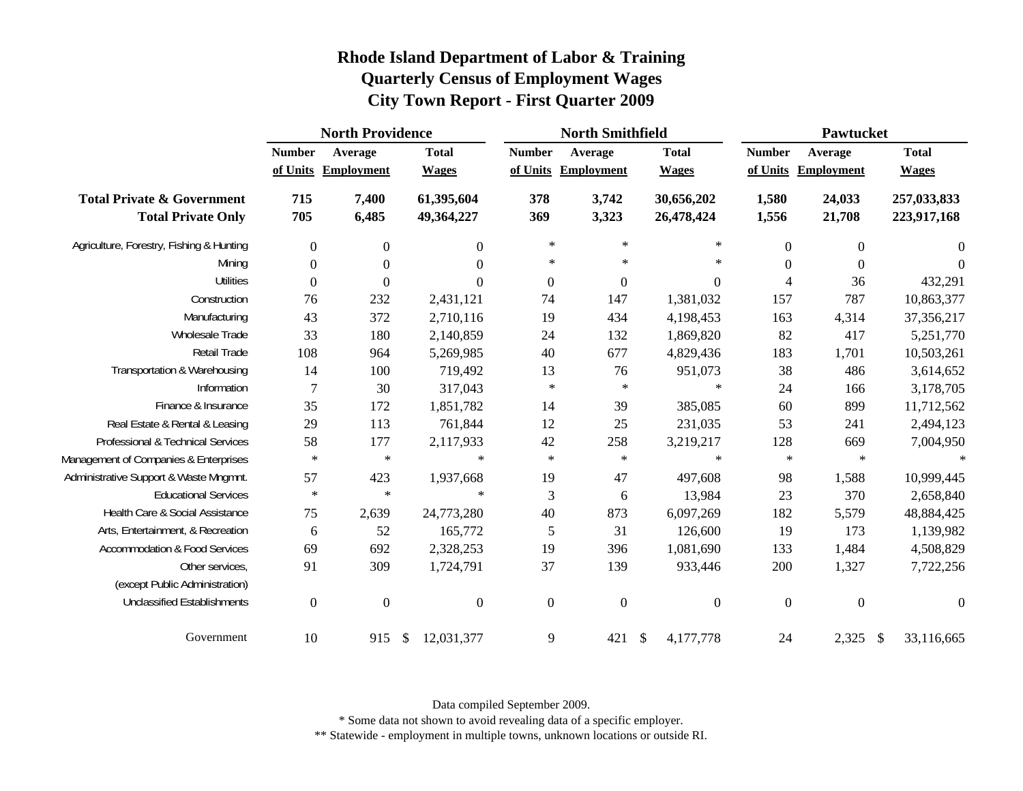|                                                                    |                           | <b>North Providence</b>      |                              |                  | <b>North Smithfield</b>        |                              |                           |                       | <b>Pawtucket</b>             |  |  |  |
|--------------------------------------------------------------------|---------------------------|------------------------------|------------------------------|------------------|--------------------------------|------------------------------|---------------------------|-----------------------|------------------------------|--|--|--|
|                                                                    | <b>Number</b><br>of Units | Average<br><b>Employment</b> | <b>Total</b><br><b>Wages</b> | <b>Number</b>    | Average<br>of Units Employment | <b>Total</b><br><b>Wages</b> | <b>Number</b><br>of Units | Average<br>Employment | <b>Total</b><br><b>Wages</b> |  |  |  |
| <b>Total Private &amp; Government</b><br><b>Total Private Only</b> | 715<br>705                | 7,400<br>6,485               | 61,395,604<br>49,364,227     | 378<br>369       | 3,742<br>3,323                 | 30,656,202<br>26,478,424     | 1,580<br>1,556            | 24,033<br>21,708      | 257,033,833<br>223,917,168   |  |  |  |
| Agriculture, Forestry, Fishing & Hunting                           | $\boldsymbol{0}$          | $\boldsymbol{0}$             | $\boldsymbol{0}$             | $\ast$           | $\ast$                         | $\ast$                       | $\mathbf{0}$              | $\boldsymbol{0}$      | $\overline{0}$               |  |  |  |
| Mining                                                             | $\boldsymbol{0}$          | $\boldsymbol{0}$             | $\boldsymbol{0}$             | $\ast$           | $\ast$                         | $\ast$                       | $\boldsymbol{0}$          | $\boldsymbol{0}$      | $\overline{0}$               |  |  |  |
| <b>Utilities</b>                                                   | $\theta$                  | $\boldsymbol{0}$             | $\theta$                     | $\boldsymbol{0}$ | $\boldsymbol{0}$               | $\overline{0}$               | $\overline{4}$            | 36                    | 432,291                      |  |  |  |
| Construction                                                       | 76                        | 232                          | 2,431,121                    | 74               | 147                            | 1,381,032                    | 157                       | 787                   | 10,863,377                   |  |  |  |
| Manufacturing                                                      | 43                        | 372                          | 2,710,116                    | 19               | 434                            | 4,198,453                    | 163                       | 4,314                 | 37,356,217                   |  |  |  |
| Wholesale Trade                                                    | 33                        | 180                          | 2,140,859                    | 24               | 132                            | 1,869,820                    | 82                        | 417                   | 5,251,770                    |  |  |  |
| <b>Retail Trade</b>                                                | 108                       | 964                          | 5,269,985                    | 40               | 677                            | 4,829,436                    | 183                       | 1,701                 | 10,503,261                   |  |  |  |
| Transportation & Warehousing                                       | 14                        | 100                          | 719,492                      | 13               | 76                             | 951,073                      | 38                        | 486                   | 3,614,652                    |  |  |  |
| Information                                                        | $\overline{7}$            | 30                           | 317,043                      | $\ast$           | $\ast$                         | $\ast$                       | 24                        | 166                   | 3,178,705                    |  |  |  |
| Finance & Insurance                                                | 35                        | 172                          | 1,851,782                    | 14               | 39                             | 385,085                      | 60                        | 899                   | 11,712,562                   |  |  |  |
| Real Estate & Rental & Leasing                                     | 29                        | 113                          | 761,844                      | 12               | 25                             | 231,035                      | 53                        | 241                   | 2,494,123                    |  |  |  |
| Professional & Technical Services                                  | 58                        | 177                          | 2,117,933                    | 42               | 258                            | 3,219,217                    | 128                       | 669                   | 7,004,950                    |  |  |  |
| Management of Companies & Enterprises                              | $\ast$                    | $\ast$                       | $\ast$                       | $\ast$           | $\ast$                         | $\ast$                       | $\ast$                    | $\star$               | $\ast$                       |  |  |  |
| Administrative Support & Waste Mngmnt.                             | 57                        | 423                          | 1,937,668                    | 19               | 47                             | 497,608                      | 98                        | 1,588                 | 10,999,445                   |  |  |  |
| <b>Educational Services</b>                                        | $\ast$                    | $\ast$                       | $\ast$                       | 3                | 6                              | 13,984                       | 23                        | 370                   | 2,658,840                    |  |  |  |
| Health Care & Social Assistance                                    | 75                        | 2,639                        | 24,773,280                   | $40\,$           | 873                            | 6,097,269                    | 182                       | 5,579                 | 48,884,425                   |  |  |  |
| Arts, Entertainment, & Recreation                                  | 6                         | 52                           | 165,772                      | 5                | 31                             | 126,600                      | 19                        | 173                   | 1,139,982                    |  |  |  |
| Accommodation & Food Services                                      | 69                        | 692                          | 2,328,253                    | 19               | 396                            | 1,081,690                    | 133                       | 1,484                 | 4,508,829                    |  |  |  |
| Other services,<br>(except Public Administration)                  | 91                        | 309                          | 1,724,791                    | 37               | 139                            | 933,446                      | 200                       | 1,327                 | 7,722,256                    |  |  |  |
| <b>Unclassified Establishments</b>                                 | $\mathbf{0}$              | $\boldsymbol{0}$             | $\boldsymbol{0}$             | $\overline{0}$   | $\overline{0}$                 | $\mathbf{0}$                 | $\overline{0}$            | $\mathbf{0}$          | $\overline{0}$               |  |  |  |
| Government                                                         | 10                        | 915                          | 12,031,377<br>$\mathcal{S}$  | 9                | 421                            | $\mathcal{S}$<br>4,177,778   | 24                        | 2,325                 | $\mathcal{S}$<br>33,116,665  |  |  |  |

Data compiled September 2009.

\* Some data not shown to avoid revealing data of a specific employer.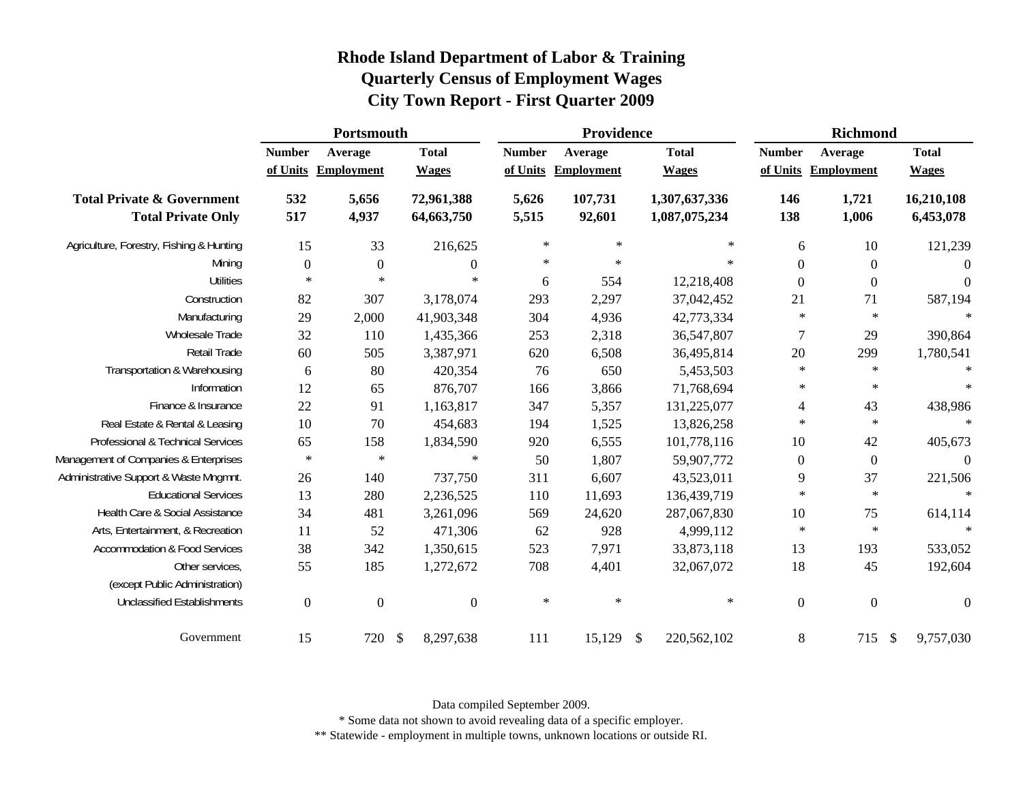|                                                                    |                           | Portsmouth            |                              |                           | Providence                   |                                | <b>Richmond</b>  |                                |                                      |  |
|--------------------------------------------------------------------|---------------------------|-----------------------|------------------------------|---------------------------|------------------------------|--------------------------------|------------------|--------------------------------|--------------------------------------|--|
|                                                                    | <b>Number</b><br>of Units | Average<br>Employment | <b>Total</b><br><b>Wages</b> | <b>Number</b><br>of Units | Average<br><b>Employment</b> | <b>Total</b><br><b>Wages</b>   | <b>Number</b>    | Average<br>of Units Employment | <b>Total</b><br><b>Wages</b>         |  |
| <b>Total Private &amp; Government</b><br><b>Total Private Only</b> | 532<br>517                | 5,656<br>4,937        | 72,961,388<br>64,663,750     | 5,626<br>5,515            | 107,731<br>92,601            | 1,307,637,336<br>1,087,075,234 | 146<br>138       | 1,721<br>1,006                 | 16,210,108<br>6,453,078              |  |
| Agriculture, Forestry, Fishing & Hunting                           | 15                        | 33                    | 216,625                      | $\ast$                    | $\ast$                       | $\ast$                         | 6                | 10                             | 121,239                              |  |
| Mining                                                             | $\boldsymbol{0}$          | $\boldsymbol{0}$      | $\theta$                     | $\ast$                    | $\ast$                       | $\ast$                         | $\overline{0}$   | $\boldsymbol{0}$               | $\overline{0}$                       |  |
| <b>Utilities</b>                                                   | $\ast$                    | $\ast$                | $\ast$                       | 6                         | 554                          | 12,218,408                     | $\overline{0}$   | $\boldsymbol{0}$               | $\boldsymbol{0}$                     |  |
| Construction                                                       | 82                        | 307                   | 3,178,074                    | 293                       | 2,297                        | 37,042,452                     | 21               | 71                             | 587,194                              |  |
| Manufacturing                                                      | 29                        | 2,000                 | 41,903,348                   | 304                       | 4,936                        | 42,773,334                     | $\ast$           | $\ast$                         | $\ast$                               |  |
| Wholesale Trade                                                    | 32                        | 110                   | 1,435,366                    | 253                       | 2,318                        | 36,547,807                     | $\tau$           | 29                             | 390,864                              |  |
| <b>Retail Trade</b>                                                | 60                        | 505                   | 3,387,971                    | 620                       | 6,508                        | 36,495,814                     | 20               | 299                            | 1,780,541                            |  |
| Transportation & Warehousing                                       | 6                         | 80                    | 420,354                      | 76                        | 650                          | 5,453,503                      | $\ast$           | $\ast$                         | $\ast$                               |  |
| Information                                                        | 12                        | 65                    | 876,707                      | 166                       | 3,866                        | 71,768,694                     | $\ast$           | $\ast$                         | $\ast$                               |  |
| Finance & Insurance                                                | 22                        | 91                    | 1,163,817                    | 347                       | 5,357                        | 131,225,077                    | 4                | 43                             | 438,986                              |  |
| Real Estate & Rental & Leasing                                     | 10                        | 70                    | 454,683                      | 194                       | 1,525                        | 13,826,258                     | $\ast$           | $\ast$                         | $\ast$                               |  |
| Professional & Technical Services                                  | 65                        | 158                   | 1,834,590                    | 920                       | 6,555                        | 101,778,116                    | 10               | 42                             | 405,673                              |  |
| Management of Companies & Enterprises                              | $\ast$                    | $\ast$                | $\ast$                       | 50                        | 1,807                        | 59,907,772                     | $\boldsymbol{0}$ | $\boldsymbol{0}$               | $\boldsymbol{0}$                     |  |
| Administrative Support & Waste Mngmnt.                             | 26                        | 140                   | 737,750                      | 311                       | 6,607                        | 43,523,011                     | 9                | 37                             | 221,506                              |  |
| <b>Educational Services</b>                                        | 13                        | 280                   | 2,236,525                    | 110                       | 11,693                       | 136,439,719                    | $\ast$           | $\ast$                         | $\ast$                               |  |
| Health Care & Social Assistance                                    | 34                        | 481                   | 3,261,096                    | 569                       | 24,620                       | 287,067,830                    | 10               | 75                             | 614,114                              |  |
| Arts, Entertainment, & Recreation                                  | 11                        | 52                    | 471,306                      | 62                        | 928                          | 4,999,112                      | $\ast$           | $\ast$                         | $\star$                              |  |
| <b>Accommodation &amp; Food Services</b>                           | 38                        | 342                   | 1,350,615                    | 523                       | 7,971                        | 33,873,118                     | 13               | 193                            | 533,052                              |  |
| Other services,                                                    | 55                        | 185                   | 1,272,672                    | 708                       | 4,401                        | 32,067,072                     | 18               | 45                             | 192,604                              |  |
| (except Public Administration)                                     |                           |                       |                              |                           |                              |                                |                  |                                |                                      |  |
| <b>Unclassified Establishments</b>                                 | $\boldsymbol{0}$          | $\boldsymbol{0}$      | $\mathbf{0}$                 | $\ast$                    | $\ast$                       | $\ast$                         | $\boldsymbol{0}$ | $\boldsymbol{0}$               | $\boldsymbol{0}$                     |  |
| Government                                                         | 15                        | 720                   | $\mathcal{S}$<br>8,297,638   | 111                       | 15,129                       | \$<br>220,562,102              | $8\,$            | 715                            | $\sqrt[6]{\frac{1}{2}}$<br>9,757,030 |  |

Data compiled September 2009.

\* Some data not shown to avoid revealing data of a specific employer.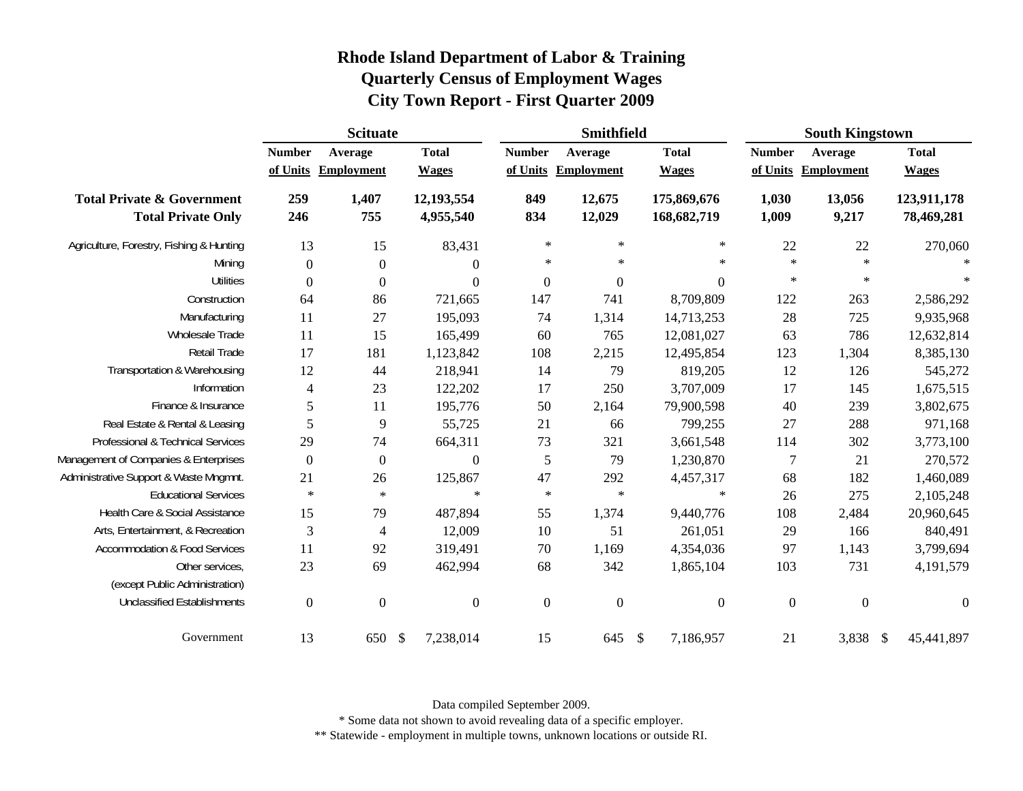|                                                                    | <b>Scituate</b>          |                                |                              |                           | Smithfield                   |                              |                | <b>South Kingstown</b>         |                              |  |
|--------------------------------------------------------------------|--------------------------|--------------------------------|------------------------------|---------------------------|------------------------------|------------------------------|----------------|--------------------------------|------------------------------|--|
|                                                                    | <b>Number</b>            | Average<br>of Units Employment | <b>Total</b><br><b>Wages</b> | <b>Number</b><br>of Units | Average<br><b>Employment</b> | <b>Total</b><br><b>Wages</b> | <b>Number</b>  | Average<br>of Units Employment | <b>Total</b><br><b>Wages</b> |  |
| <b>Total Private &amp; Government</b><br><b>Total Private Only</b> | 259<br>246               | 1,407<br>755                   | 12,193,554<br>4,955,540      | 849<br>834                | 12,675<br>12,029             | 175,869,676<br>168,682,719   | 1,030<br>1,009 | 13,056<br>9,217                | 123,911,178<br>78,469,281    |  |
| Agriculture, Forestry, Fishing & Hunting                           | 13                       | 15                             | 83,431                       | $\ast$                    | $\ast$                       | $\ast$                       | 22             | 22                             | 270,060                      |  |
| Mining                                                             | $\boldsymbol{0}$         | $\boldsymbol{0}$               | $\Omega$                     | $\ast$                    | $\ast$                       | $\ast$                       | $\ast$         | $\ast$                         | $\ast$                       |  |
| <b>Utilities</b>                                                   | $\overline{0}$           | $\boldsymbol{0}$               | $\Omega$                     | $\overline{0}$            | $\boldsymbol{0}$             | $\overline{0}$               | $\ast$         | $\ast$                         | $\ast$                       |  |
| Construction                                                       | 64                       | 86                             | 721,665                      | 147                       | 741                          | 8,709,809                    | 122            | 263                            | 2,586,292                    |  |
| Manufacturing                                                      | 11                       | 27                             | 195,093                      | 74                        | 1,314                        | 14,713,253                   | 28             | 725                            | 9,935,968                    |  |
| Wholesale Trade                                                    | 11                       | 15                             | 165,499                      | 60                        | 765                          | 12,081,027                   | 63             | 786                            | 12,632,814                   |  |
| Retail Trade                                                       | 17                       | 181                            | 1,123,842                    | 108                       | 2,215                        | 12,495,854                   | 123            | 1,304                          | 8,385,130                    |  |
| Transportation & Warehousing                                       | 12                       | 44                             | 218,941                      | 14                        | 79                           | 819,205                      | 12             | 126                            | 545,272                      |  |
| Information                                                        | $\overline{\mathcal{A}}$ | 23                             | 122,202                      | 17                        | 250                          | 3,707,009                    | 17             | 145                            | 1,675,515                    |  |
| Finance & Insurance                                                | 5                        | 11                             | 195,776                      | 50                        | 2,164                        | 79,900,598                   | 40             | 239                            | 3,802,675                    |  |
| Real Estate & Rental & Leasing                                     | 5                        | 9                              | 55,725                       | 21                        | 66                           | 799,255                      | 27             | 288                            | 971,168                      |  |
| Professional & Technical Services                                  | 29                       | 74                             | 664,311                      | 73                        | 321                          | 3,661,548                    | 114            | 302                            | 3,773,100                    |  |
| Management of Companies & Enterprises                              | $\boldsymbol{0}$         | $\boldsymbol{0}$               | $\overline{0}$               | 5                         | 79                           | 1,230,870                    | 7              | 21                             | 270,572                      |  |
| Administrative Support & Waste Mngmnt.                             | 21                       | 26                             | 125,867                      | 47                        | 292                          | 4,457,317                    | 68             | 182                            | 1,460,089                    |  |
| <b>Educational Services</b>                                        | $\ast$                   | $\ast$                         | $\ast$                       | $\ast$                    | $\ast$                       | $\ast$                       | 26             | 275                            | 2,105,248                    |  |
| Health Care & Social Assistance                                    | 15                       | 79                             | 487,894                      | 55                        | 1,374                        | 9,440,776                    | 108            | 2,484                          | 20,960,645                   |  |
| Arts, Entertainment, & Recreation                                  | 3                        | 4                              | 12,009                       | 10                        | 51                           | 261,051                      | 29             | 166                            | 840,491                      |  |
| <b>Accommodation &amp; Food Services</b>                           | 11                       | 92                             | 319,491                      | 70                        | 1,169                        | 4,354,036                    | 97             | 1,143                          | 3,799,694                    |  |
| Other services,                                                    | 23                       | 69                             | 462,994                      | 68                        | 342                          | 1,865,104                    | 103            | 731                            | 4,191,579                    |  |
| (except Public Administration)                                     |                          |                                |                              |                           |                              |                              |                |                                |                              |  |
| <b>Unclassified Establishments</b>                                 | $\overline{0}$           | $\boldsymbol{0}$               | $\mathbf{0}$                 | $\overline{0}$            | $\overline{0}$               | $\overline{0}$               | $\overline{0}$ | $\overline{0}$                 | $\theta$                     |  |
| Government                                                         | 13                       | 650 \$                         | 7,238,014                    | 15                        | 645                          | $\mathbb{S}$<br>7,186,957    | 21             | 3,838 \$                       | 45,441,897                   |  |

Data compiled September 2009.

\* Some data not shown to avoid revealing data of a specific employer.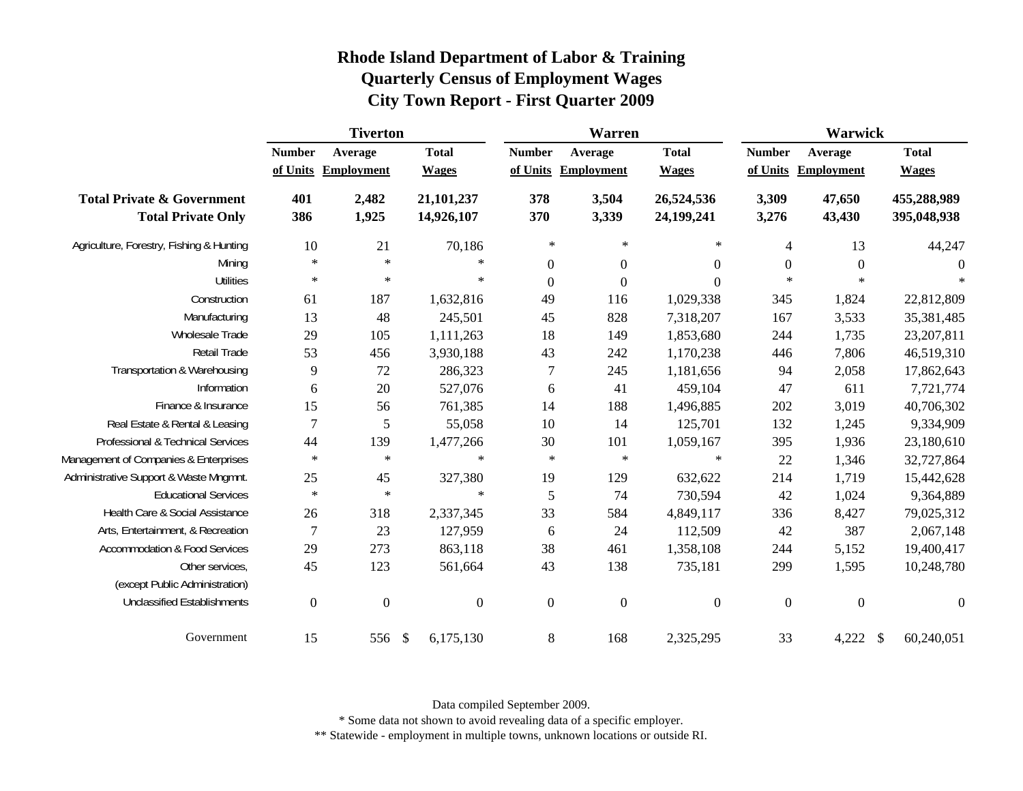|                                                                    | <b>Tiverton</b>           |                              |                              | Warren                    |                       |                              | Warwick                   |                              |                              |
|--------------------------------------------------------------------|---------------------------|------------------------------|------------------------------|---------------------------|-----------------------|------------------------------|---------------------------|------------------------------|------------------------------|
|                                                                    | <b>Number</b><br>of Units | Average<br><b>Employment</b> | <b>Total</b><br><b>Wages</b> | <b>Number</b><br>of Units | Average<br>Employment | <b>Total</b><br><b>Wages</b> | <b>Number</b><br>of Units | Average<br><b>Employment</b> | <b>Total</b><br><b>Wages</b> |
| <b>Total Private &amp; Government</b><br><b>Total Private Only</b> | 401<br>386                | 2,482<br>1,925               | 21,101,237<br>14,926,107     | 378<br>370                | 3,504<br>3,339        | 26,524,536<br>24,199,241     | 3,309<br>3,276            | 47,650<br>43,430             | 455,288,989<br>395,048,938   |
| Agriculture, Forestry, Fishing & Hunting                           | 10                        | 21                           | 70,186                       | $\ast$                    | $\ast$                | $\ast$                       | $\overline{4}$            | 13                           | 44,247                       |
| Mining                                                             | $\ast$                    | $\ast$                       | $\ast$                       | $\overline{0}$            | $\boldsymbol{0}$      | $\overline{0}$               | $\boldsymbol{0}$          | $\boldsymbol{0}$             | $\theta$                     |
| <b>Utilities</b>                                                   | $\ast$                    | $\ast$                       | $\ast$                       | $\boldsymbol{0}$          | $\boldsymbol{0}$      | $\Omega$                     | $\ast$                    | $\star$                      | $\star$                      |
| Construction                                                       | 61                        | 187                          | 1,632,816                    | 49                        | 116                   | 1,029,338                    | 345                       | 1,824                        | 22,812,809                   |
| Manufacturing                                                      | 13                        | 48                           | 245,501                      | 45                        | 828                   | 7,318,207                    | 167                       | 3,533                        | 35,381,485                   |
| Wholesale Trade                                                    | 29                        | 105                          | 1,111,263                    | 18                        | 149                   | 1,853,680                    | 244                       | 1,735                        | 23,207,811                   |
| Retail Trade                                                       | 53                        | 456                          | 3,930,188                    | 43                        | 242                   | 1,170,238                    | 446                       | 7,806                        | 46,519,310                   |
| Transportation & Warehousing                                       | 9                         | 72                           | 286,323                      | $\tau$                    | 245                   | 1,181,656                    | 94                        | 2,058                        | 17,862,643                   |
| Information                                                        | 6                         | 20                           | 527,076                      | 6                         | 41                    | 459,104                      | 47                        | 611                          | 7,721,774                    |
| Finance & Insurance                                                | 15                        | 56                           | 761,385                      | 14                        | 188                   | 1,496,885                    | 202                       | 3,019                        | 40,706,302                   |
| Real Estate & Rental & Leasing                                     | $\overline{7}$            | 5                            | 55,058                       | $10\,$                    | 14                    | 125,701                      | 132                       | 1,245                        | 9,334,909                    |
| Professional & Technical Services                                  | 44                        | 139                          | 1,477,266                    | 30                        | 101                   | 1,059,167                    | 395                       | 1,936                        | 23,180,610                   |
| Management of Companies & Enterprises                              | $\ast$                    | $\ast$                       | $\ast$                       | $\ast$                    | $\ast$                | $\ast$                       | 22                        | 1,346                        | 32,727,864                   |
| Administrative Support & Waste Mngmnt.                             | 25                        | 45                           | 327,380                      | 19                        | 129                   | 632,622                      | 214                       | 1,719                        | 15,442,628                   |
| <b>Educational Services</b>                                        | $\ast$                    | $\ast$                       | $\ast$                       | 5                         | 74                    | 730,594                      | 42                        | 1,024                        | 9,364,889                    |
| Health Care & Social Assistance                                    | 26                        | 318                          | 2,337,345                    | 33                        | 584                   | 4,849,117                    | 336                       | 8,427                        | 79,025,312                   |
| Arts, Entertainment, & Recreation                                  | 7                         | 23                           | 127,959                      | 6                         | 24                    | 112,509                      | 42                        | 387                          | 2,067,148                    |
| <b>Accommodation &amp; Food Services</b>                           | 29                        | 273                          | 863,118                      | 38                        | 461                   | 1,358,108                    | 244                       | 5,152                        | 19,400,417                   |
| Other services,                                                    | 45                        | 123                          | 561,664                      | 43                        | 138                   | 735,181                      | 299                       | 1,595                        | 10,248,780                   |
| (except Public Administration)                                     |                           |                              |                              |                           |                       |                              |                           |                              |                              |
| <b>Unclassified Establishments</b>                                 | $\mathbf{0}$              | $\boldsymbol{0}$             | $\mathbf{0}$                 | $\overline{0}$            | $\boldsymbol{0}$      | $\overline{0}$               | $\boldsymbol{0}$          | $\overline{0}$               | $\theta$                     |
| Government                                                         | 15                        | 556                          | 6,175,130<br>- \$            | 8                         | 168                   | 2,325,295                    | 33                        | 4,222                        | 60,240,051<br><sup>\$</sup>  |

Data compiled September 2009.

\* Some data not shown to avoid revealing data of a specific employer.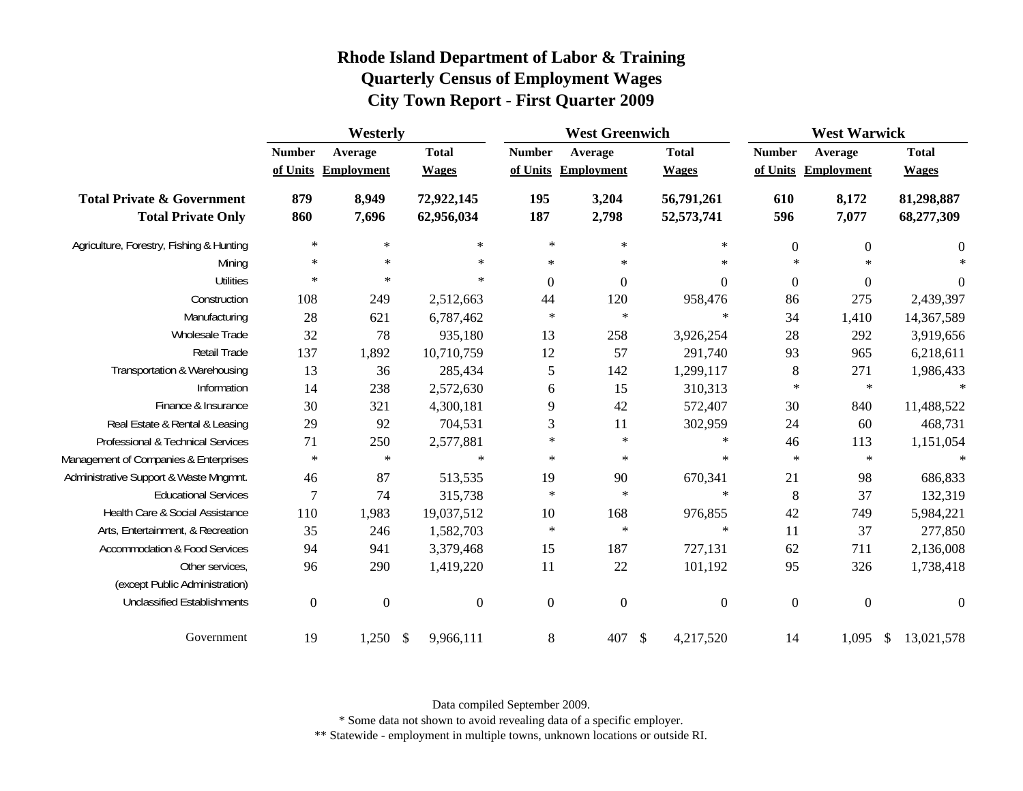|                                                                    | Westerly                  |                              |                              | <b>West Greenwich</b>     |                              |                              | <b>West Warwick</b> |                                |                              |
|--------------------------------------------------------------------|---------------------------|------------------------------|------------------------------|---------------------------|------------------------------|------------------------------|---------------------|--------------------------------|------------------------------|
|                                                                    | <b>Number</b><br>of Units | Average<br><b>Employment</b> | <b>Total</b><br><b>Wages</b> | <b>Number</b><br>of Units | Average<br><b>Employment</b> | <b>Total</b><br><b>Wages</b> | <b>Number</b>       | Average<br>of Units Employment | <b>Total</b><br><b>Wages</b> |
| <b>Total Private &amp; Government</b><br><b>Total Private Only</b> | 879<br>860                | 8,949<br>7,696               | 72,922,145<br>62,956,034     | 195<br>187                | 3,204<br>2,798               | 56,791,261<br>52,573,741     | 610<br>596          | 8,172<br>7,077                 | 81,298,887<br>68,277,309     |
| Agriculture, Forestry, Fishing & Hunting                           | $\ast$                    | $\ast$                       | $\ast$                       | $\ast$                    | $\ast$                       | $\ast$                       | $\boldsymbol{0}$    | $\boldsymbol{0}$               | $\boldsymbol{0}$             |
| Mining                                                             | $\ast$                    | $\ast$                       | $\ast$                       | $\ast$                    | $\ast$                       | $\ast$                       | $\ast$              | $\ast$                         | $\star$                      |
| <b>Utilities</b>                                                   | $\ast$                    | $\ast$                       | $\ast$                       | $\boldsymbol{0}$          | $\boldsymbol{0}$             | $\boldsymbol{0}$             | $\boldsymbol{0}$    | $\boldsymbol{0}$               | $\boldsymbol{0}$             |
| Construction                                                       | 108                       | 249                          | 2,512,663                    | 44                        | 120                          | 958,476                      | 86                  | 275                            | 2,439,397                    |
| Manufacturing                                                      | 28                        | 621                          | 6,787,462                    | $\ast$                    | $\ast$                       | $\ast$                       | 34                  | 1,410                          | 14,367,589                   |
| <b>Wholesale Trade</b>                                             | 32                        | 78                           | 935,180                      | 13                        | 258                          | 3,926,254                    | 28                  | 292                            | 3,919,656                    |
| Retail Trade                                                       | 137                       | 1,892                        | 10,710,759                   | 12                        | 57                           | 291,740                      | 93                  | 965                            | 6,218,611                    |
| Transportation & Warehousing                                       | 13                        | 36                           | 285,434                      | $\mathfrak s$             | 142                          | 1,299,117                    | $\,8\,$             | 271                            | 1,986,433                    |
| Information                                                        | 14                        | 238                          | 2,572,630                    | $\boldsymbol{6}$          | 15                           | 310,313                      | $\ast$              | $\ast$                         | $\star$                      |
| Finance & Insurance                                                | 30                        | 321                          | 4,300,181                    | $\mathbf{9}$              | 42                           | 572,407                      | 30                  | 840                            | 11,488,522                   |
| Real Estate & Rental & Leasing                                     | 29                        | 92                           | 704,531                      | $\mathfrak{Z}$            | 11                           | 302,959                      | 24                  | 60                             | 468,731                      |
| Professional & Technical Services                                  | 71                        | 250                          | 2,577,881                    | $\ast$                    | $\ast$                       | $\ast$                       | 46                  | 113                            | 1,151,054                    |
| Management of Companies & Enterprises                              | $\ast$                    | $\ast$                       | $\ast$                       | $\ast$                    | $\ast$                       | $\ast$                       | $\ast$              | $\ast$                         | $\ast$                       |
| Administrative Support & Waste Mngmnt.                             | 46                        | 87                           | 513,535                      | 19                        | 90                           | 670,341                      | 21                  | 98                             | 686,833                      |
| <b>Educational Services</b>                                        | $\overline{7}$            | 74                           | 315,738                      | $\ast$                    | $\ast$                       | $\ast$                       | 8                   | 37                             | 132,319                      |
| Health Care & Social Assistance                                    | 110                       | 1,983                        | 19,037,512                   | 10                        | 168                          | 976,855                      | 42                  | 749                            | 5,984,221                    |
| Arts, Entertainment, & Recreation                                  | 35                        | 246                          | 1,582,703                    | $\ast$                    | $\ast$                       | $\ast$                       | 11                  | 37                             | 277,850                      |
| <b>Accommodation &amp; Food Services</b>                           | 94                        | 941                          | 3,379,468                    | 15                        | 187                          | 727,131                      | 62                  | 711                            | 2,136,008                    |
| Other services,                                                    | 96                        | 290                          | 1,419,220                    | 11                        | $22\,$                       | 101,192                      | 95                  | 326                            | 1,738,418                    |
| (except Public Administration)                                     |                           |                              |                              |                           |                              |                              |                     |                                |                              |
| <b>Unclassified Establishments</b>                                 | $\boldsymbol{0}$          | $\boldsymbol{0}$             | $\boldsymbol{0}$             | $\boldsymbol{0}$          | $\boldsymbol{0}$             | $\overline{0}$               | $\overline{0}$      | $\overline{0}$                 | $\theta$                     |
| Government                                                         | 19                        | $1,250$ \$                   | 9,966,111                    | 8                         | 407                          | $\mathcal{S}$<br>4,217,520   | 14                  | $1,095$ \$                     | 13,021,578                   |

Data compiled September 2009.

\* Some data not shown to avoid revealing data of a specific employer.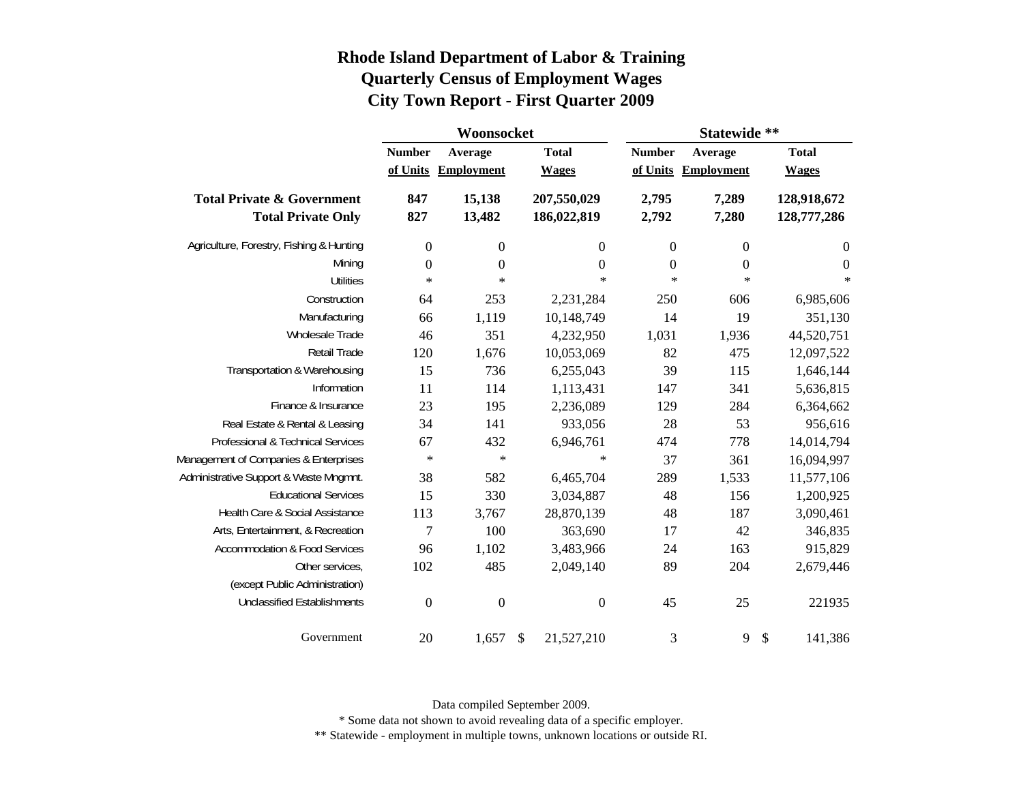|                                                                    |                           | Woonsocket                   |                              | Statewide **   |                                |                              |  |  |
|--------------------------------------------------------------------|---------------------------|------------------------------|------------------------------|----------------|--------------------------------|------------------------------|--|--|
|                                                                    | <b>Number</b><br>of Units | Average<br><b>Employment</b> | <b>Total</b><br><b>Wages</b> | <b>Number</b>  | Average<br>of Units Employment | <b>Total</b><br><b>Wages</b> |  |  |
| <b>Total Private &amp; Government</b><br><b>Total Private Only</b> | 847<br>827                | 15,138<br>13,482             | 207,550,029<br>186,022,819   | 2,795<br>2,792 | 7,289<br>7,280                 | 128,918,672<br>128,777,286   |  |  |
| Agriculture, Forestry, Fishing & Hunting                           | $\boldsymbol{0}$          | $\boldsymbol{0}$             | $\boldsymbol{0}$             | $\mathbf{0}$   | $\boldsymbol{0}$               | $\boldsymbol{0}$             |  |  |
| Mining                                                             | $\boldsymbol{0}$          | $\boldsymbol{0}$             | $\boldsymbol{0}$             | $\mathbf{0}$   | $\boldsymbol{0}$               | $\boldsymbol{0}$             |  |  |
| <b>Utilities</b>                                                   | $\ast$                    | $\ast$                       | $\ast$                       | $\ast$         | $\ast$                         | $\ast$                       |  |  |
| Construction                                                       | 64                        | 253                          | 2,231,284                    | 250            | 606                            | 6,985,606                    |  |  |
| Manufacturing                                                      | 66                        | 1,119                        | 10,148,749                   | 14             | 19                             | 351,130                      |  |  |
| Wholesale Trade                                                    | 46                        | 351                          | 4,232,950                    | 1,031          | 1,936                          | 44,520,751                   |  |  |
| Retail Trade                                                       | 120                       | 1,676                        | 10,053,069                   | 82             | 475                            | 12,097,522                   |  |  |
| Transportation & Warehousing                                       | 15                        | 736                          | 6,255,043                    | 39             | 115                            | 1,646,144                    |  |  |
| Information                                                        | 11                        | 114                          | 1,113,431                    | 147            | 341                            | 5,636,815                    |  |  |
| Finance & Insurance                                                | 23                        | 195                          | 2,236,089                    | 129            | 284                            | 6,364,662                    |  |  |
| Real Estate & Rental & Leasing                                     | 34                        | 141                          | 933,056                      | 28             | 53                             | 956,616                      |  |  |
| Professional & Technical Services                                  | 67                        | 432                          | 6,946,761                    | 474            | 778                            | 14,014,794                   |  |  |
| Management of Companies & Enterprises                              | $\ast$                    | $\ast$                       | $\ast$                       | 37             | 361                            | 16,094,997                   |  |  |
| Administrative Support & Waste Mngmnt.                             | 38                        | 582                          | 6,465,704                    | 289            | 1,533                          | 11,577,106                   |  |  |
| <b>Educational Services</b>                                        | 15                        | 330                          | 3,034,887                    | 48             | 156                            | 1,200,925                    |  |  |
| Health Care & Social Assistance                                    | 113                       | 3,767                        | 28,870,139                   | 48             | 187                            | 3,090,461                    |  |  |
| Arts, Entertainment, & Recreation                                  | $\overline{7}$            | 100                          | 363,690                      | 17             | 42                             | 346,835                      |  |  |
| <b>Accommodation &amp; Food Services</b>                           | 96                        | 1,102                        | 3,483,966                    | 24             | 163                            | 915,829                      |  |  |
| Other services,                                                    | 102                       | 485                          | 2,049,140                    | 89             | 204                            | 2,679,446                    |  |  |
| (except Public Administration)                                     |                           |                              |                              |                |                                |                              |  |  |
| <b>Unclassified Establishments</b>                                 | $\boldsymbol{0}$          | $\boldsymbol{0}$             | $\boldsymbol{0}$             | 45             | 25                             | 221935                       |  |  |
| Government                                                         | 20                        | 1,657                        | $\mathsf{\$}$<br>21,527,210  | 3              | 9                              | $\mathcal{S}$<br>141,386     |  |  |

Data compiled September 2009.

\* Some data not shown to avoid revealing data of a specific employer.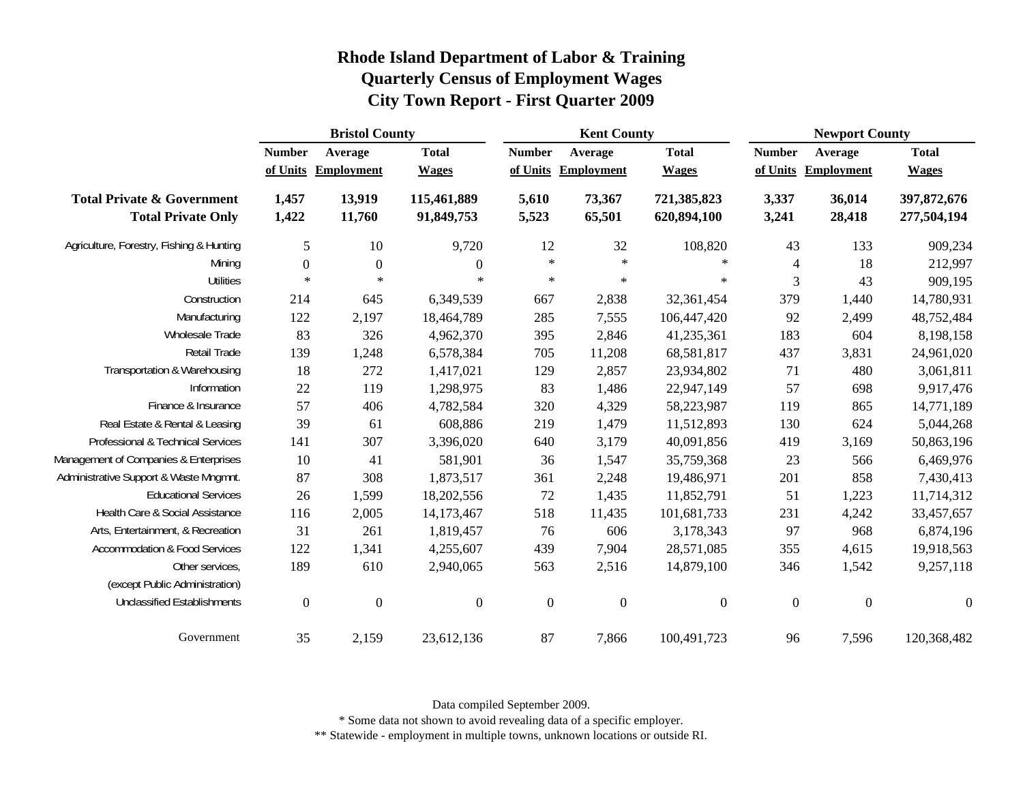|                                                                    | <b>Bristol County</b>     |                              |                              | <b>Kent County</b> |                                |                              | <b>Newport County</b>     |                              |                              |
|--------------------------------------------------------------------|---------------------------|------------------------------|------------------------------|--------------------|--------------------------------|------------------------------|---------------------------|------------------------------|------------------------------|
|                                                                    | <b>Number</b><br>of Units | Average<br><b>Employment</b> | <b>Total</b><br><b>Wages</b> | <b>Number</b>      | Average<br>of Units Employment | <b>Total</b><br><b>Wages</b> | <b>Number</b><br>of Units | Average<br><b>Employment</b> | <b>Total</b><br><b>Wages</b> |
| <b>Total Private &amp; Government</b><br><b>Total Private Only</b> | 1,457<br>1,422            | 13,919<br>11,760             | 115,461,889<br>91,849,753    | 5,610<br>5,523     | 73,367<br>65,501               | 721,385,823<br>620,894,100   | 3,337<br>3,241            | 36,014<br>28,418             | 397,872,676<br>277,504,194   |
| Agriculture, Forestry, Fishing & Hunting                           | $\mathfrak{S}$            | $10\,$                       | 9,720                        | 12                 | 32                             | 108,820                      | 43                        | 133                          | 909,234                      |
| Mining                                                             | $\boldsymbol{0}$          | $\boldsymbol{0}$             | $\boldsymbol{0}$             | $\star$            | $\ast$                         | $\ast$                       | 4                         | 18                           | 212,997                      |
| <b>Utilities</b>                                                   | $\ast$                    | $\ast$                       | $\ast$                       | $\ast$             | $\ast$                         | $\star$                      | 3                         | 43                           | 909,195                      |
| Construction                                                       | 214                       | 645                          | 6,349,539                    | 667                | 2,838                          | 32,361,454                   | 379                       | 1,440                        | 14,780,931                   |
| Manufacturing                                                      | 122                       | 2,197                        | 18,464,789                   | 285                | 7,555                          | 106,447,420                  | 92                        | 2,499                        | 48,752,484                   |
| Wholesale Trade                                                    | 83                        | 326                          | 4,962,370                    | 395                | 2,846                          | 41,235,361                   | 183                       | 604                          | 8,198,158                    |
| Retail Trade                                                       | 139                       | 1,248                        | 6,578,384                    | 705                | 11,208                         | 68,581,817                   | 437                       | 3,831                        | 24,961,020                   |
| Transportation & Warehousing                                       | 18                        | 272                          | 1,417,021                    | 129                | 2,857                          | 23,934,802                   | 71                        | 480                          | 3,061,811                    |
| Information                                                        | 22                        | 119                          | 1,298,975                    | 83                 | 1,486                          | 22,947,149                   | 57                        | 698                          | 9,917,476                    |
| Finance & Insurance                                                | 57                        | 406                          | 4,782,584                    | 320                | 4,329                          | 58,223,987                   | 119                       | 865                          | 14,771,189                   |
| Real Estate & Rental & Leasing                                     | 39                        | 61                           | 608,886                      | 219                | 1,479                          | 11,512,893                   | 130                       | 624                          | 5,044,268                    |
| Professional & Technical Services                                  | 141                       | 307                          | 3,396,020                    | 640                | 3,179                          | 40,091,856                   | 419                       | 3,169                        | 50,863,196                   |
| Management of Companies & Enterprises                              | 10                        | 41                           | 581,901                      | 36                 | 1,547                          | 35,759,368                   | 23                        | 566                          | 6,469,976                    |
| Administrative Support & Waste Mngmnt.                             | 87                        | 308                          | 1,873,517                    | 361                | 2,248                          | 19,486,971                   | 201                       | 858                          | 7,430,413                    |
| <b>Educational Services</b>                                        | 26                        | 1,599                        | 18,202,556                   | 72                 | 1,435                          | 11,852,791                   | 51                        | 1,223                        | 11,714,312                   |
| Health Care & Social Assistance                                    | 116                       | 2,005                        | 14,173,467                   | 518                | 11,435                         | 101,681,733                  | 231                       | 4,242                        | 33,457,657                   |
| Arts, Entertainment, & Recreation                                  | 31                        | 261                          | 1,819,457                    | 76                 | 606                            | 3,178,343                    | 97                        | 968                          | 6,874,196                    |
| <b>Accommodation &amp; Food Services</b>                           | 122                       | 1,341                        | 4,255,607                    | 439                | 7,904                          | 28,571,085                   | 355                       | 4,615                        | 19,918,563                   |
| Other services,<br>(except Public Administration)                  | 189                       | 610                          | 2,940,065                    | 563                | 2,516                          | 14,879,100                   | 346                       | 1,542                        | 9,257,118                    |
| <b>Unclassified Establishments</b>                                 | $\boldsymbol{0}$          | $\boldsymbol{0}$             | $\boldsymbol{0}$             | $\boldsymbol{0}$   | $\boldsymbol{0}$               | $\overline{0}$               | $\overline{0}$            | $\overline{0}$               | $\boldsymbol{0}$             |
| Government                                                         | 35                        | 2,159                        | 23,612,136                   | 87                 | 7,866                          | 100,491,723                  | 96                        | 7,596                        | 120,368,482                  |

Data compiled September 2009.

\* Some data not shown to avoid revealing data of a specific employer.